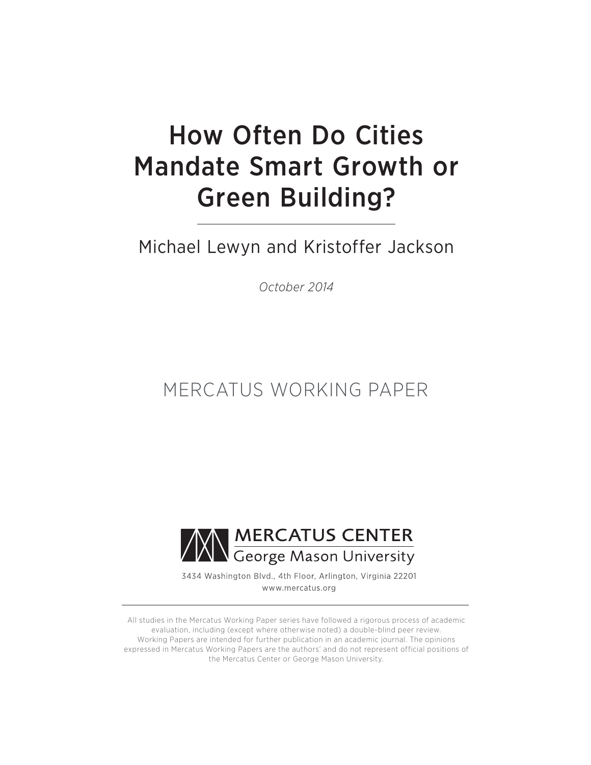# How Often Do Cities Mandate Smart Growth or Green Building?

Michael Lewyn and Kristoffer Jackson

*October 2014*

# MERCATUS WORKING PAPER



3434 Washington Blvd., 4th Floor, Arlington, Virginia 22201 www.mercatus.org

All studies in the Mercatus Working Paper series have followed a rigorous process of academic evaluation, including (except where otherwise noted) a double-blind peer review. Working Papers are intended for further publication in an academic journal. The opinions expressed in Mercatus Working Papers are the authors' and do not represent official positions of the Mercatus Center or George Mason University.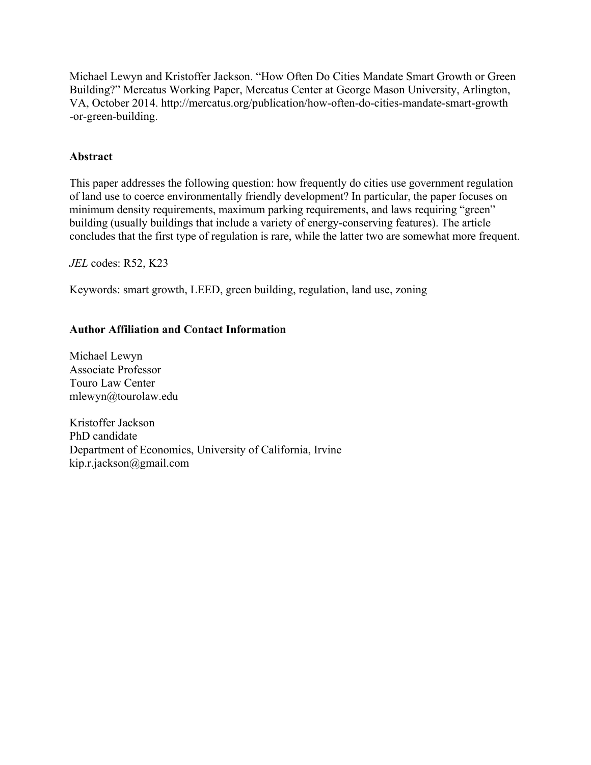Michael Lewyn and Kristoffer Jackson. "How Often Do Cities Mandate Smart Growth or Green Building?" Mercatus Working Paper, Mercatus Center at George Mason University, Arlington, VA, October 2014. [http://mercatus.org/publication/how-often-do-cities-mandate-smart-growth](http://mercatus.org/publication/how-often-do-cities-mandate-smart-growth-or-green-building) [-or-green-building.](http://mercatus.org/publication/how-often-do-cities-mandate-smart-growth-or-green-building)

# **Abstract**

This paper addresses the following question: how frequently do cities use government regulation of land use to coerce environmentally friendly development? In particular, the paper focuses on minimum density requirements, maximum parking requirements, and laws requiring "green" building (usually buildings that include a variety of energy-conserving features). The article concludes that the first type of regulation is rare, while the latter two are somewhat more frequent.

*JEL* codes: R52, K23

Keywords: smart growth, LEED, green building, regulation, land use, zoning

# **Author Affiliation and Contact Information**

Michael Lewyn Associate Professor Touro Law Center [mlewyn@tourolaw.edu](mailto:mlewyn@tourolaw.edu)

Kristoffer Jackson PhD candidate Department of Economics, University of California, Irvine [kip.r.jackson@gmail.com](mailto:kip.r.jackson@gmail.com)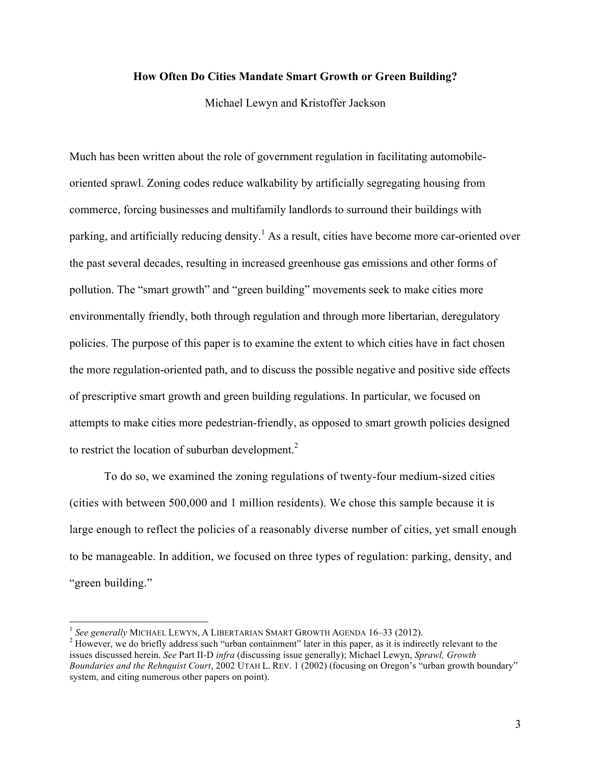# **How Often Do Cities Mandate Smart Growth or Green Building?**

Michael Lewyn and Kristoffer Jackson

Much has been written about the role of government regulation in facilitating automobileoriented sprawl. Zoning codes reduce walkability by artificially segregating housing from commerce, forcing businesses and multifamily landlords to surround their buildings with parking, and artificially reducing density.<sup>1</sup> As a result, cities have become more car-oriented over the past several decades, resulting in increased greenhouse gas emissions and other forms of pollution. The "smart growth" and "green building" movements seek to make cities more environmentally friendly, both through regulation and through more libertarian, deregulatory policies. The purpose of this paper is to examine the extent to which cities have in fact chosen the more regulation-oriented path, and to discuss the possible negative and positive side effects of prescriptive smart growth and green building regulations. In particular, we focused on attempts to make cities more pedestrian-friendly, as opposed to smart growth policies designed to restrict the location of suburban development. $<sup>2</sup>$ </sup>

To do so, we examined the zoning regulations of twenty-four medium-sized cities (cities with between 500,000 and 1 million residents). We chose this sample because it is large enough to reflect the policies of a reasonably diverse number of cities, yet small enough to be manageable. In addition, we focused on three types of regulation: parking, density, and "green building."

<sup>&</sup>lt;sup>1</sup> See generally MICHAEL LEWYN, A LIBERTARIAN SMART GROWTH AGENDA 16–33 (2012).<br><sup>2</sup> However, we do briefly address such "urban containment" later in this paper, as it is indirectly relevant to the issues discussed herein. *See* Part II-D *infra* (discussing issue generally); Michael Lewyn, *Sprawl, Growth Boundaries and the Rehnquist Court*, 2002 UTAH L. REV. 1 (2002) (focusing on Oregon's "urban growth boundary" system, and citing numerous other papers on point).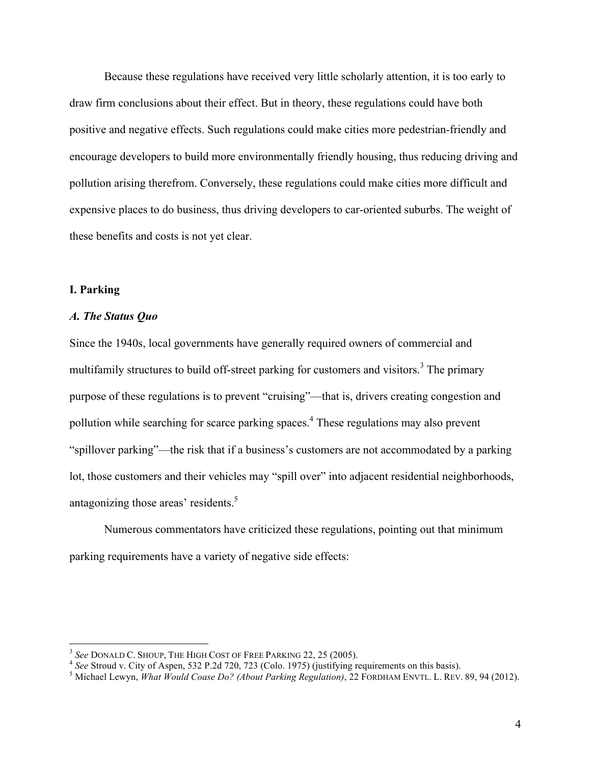Because these regulations have received very little scholarly attention, it is too early to draw firm conclusions about their effect. But in theory, these regulations could have both positive and negative effects. Such regulations could make cities more pedestrian-friendly and encourage developers to build more environmentally friendly housing, thus reducing driving and pollution arising therefrom. Conversely, these regulations could make cities more difficult and expensive places to do business, thus driving developers to car-oriented suburbs. The weight of these benefits and costs is not yet clear.

#### **I. Parking**

#### *A. The Status Quo*

Since the 1940s, local governments have generally required owners of commercial and multifamily structures to build off-street parking for customers and visitors.<sup>3</sup> The primary purpose of these regulations is to prevent "cruising"—that is, drivers creating congestion and pollution while searching for scarce parking spaces.4 These regulations may also prevent "spillover parking"—the risk that if a business's customers are not accommodated by a parking lot, those customers and their vehicles may "spill over" into adjacent residential neighborhoods, antagonizing those areas' residents.<sup>5</sup>

Numerous commentators have criticized these regulations, pointing out that minimum parking requirements have a variety of negative side effects:

<sup>&</sup>lt;sup>3</sup> See DONALD C. SHOUP, THE HIGH COST OF FREE PARKING 22, 25 (2005).

<sup>&</sup>lt;sup>4</sup> See Stroud v. City of Aspen, 532 P.2d 720, 723 (Colo. 1975) (justifying requirements on this basis).<br><sup>5</sup> Michael Lewyn, *What Would Coase Do? (About Parking Regulation)*, 22 FORDHAM ENVTL. L. REV. 89, 94 (2012).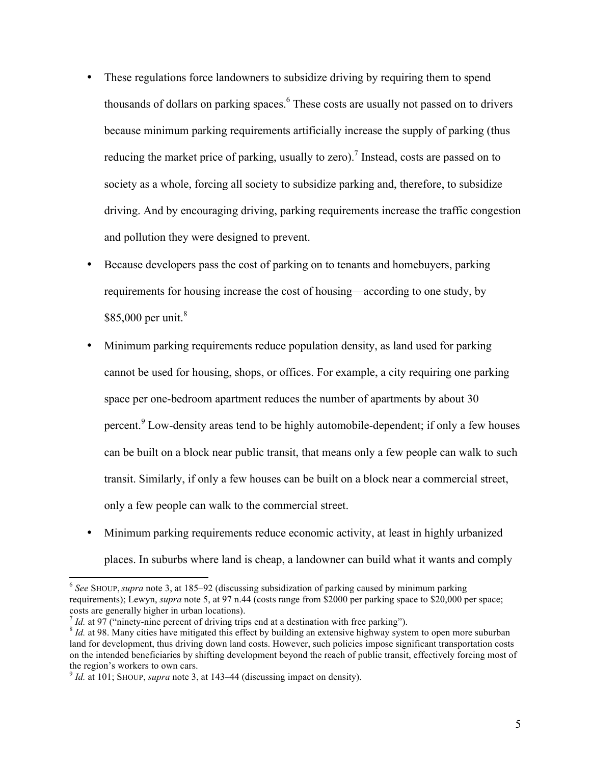- These regulations force landowners to subsidize driving by requiring them to spend thousands of dollars on parking spaces.<sup>6</sup> These costs are usually not passed on to drivers because minimum parking requirements artificially increase the supply of parking (thus reducing the market price of parking, usually to zero).<sup>7</sup> Instead, costs are passed on to society as a whole, forcing all society to subsidize parking and, therefore, to subsidize driving. And by encouraging driving, parking requirements increase the traffic congestion and pollution they were designed to prevent.
- Because developers pass the cost of parking on to tenants and homebuyers, parking requirements for housing increase the cost of housing—according to one study, by \$85,000 per unit.<sup>8</sup>
- Minimum parking requirements reduce population density, as land used for parking cannot be used for housing, shops, or offices. For example, a city requiring one parking space per one-bedroom apartment reduces the number of apartments by about 30 percent.<sup>9</sup> Low-density areas tend to be highly automobile-dependent; if only a few houses can be built on a block near public transit, that means only a few people can walk to such transit. Similarly, if only a few houses can be built on a block near a commercial street, only a few people can walk to the commercial street.
- Minimum parking requirements reduce economic activity, at least in highly urbanized places. In suburbs where land is cheap, a landowner can build what it wants and comply

<u> 1989 - Johann Stein, markin film yn y breninn y breninn y breninn y breninn y breninn y breninn y breninn y b</u>

<sup>6</sup> *See* SHOUP, *supra* note 3, at 185–92 (discussing subsidization of parking caused by minimum parking requirements); Lewyn, *supra* note 5, at 97 n.44 (costs range from \$2000 per parking space to \$20,000 per space; costs are generally higher in urban locations).<br>  $\frac{7}{4}$  *Id.* at 97 ("ninety-nine percent of driving trips end at a destination with free parking").

 ${}^{8}$  *Id.* at 98. Many cities have mitigated this effect by building an extensive highway system to open more suburban land for development, thus driving down land costs. However, such policies impose significant transportation costs on the intended beneficiaries by shifting development beyond the reach of public transit, effectively forcing most of the region's workers to own cars.

 $9$  *Id.* at 101; SHOUP, *supra* note 3, at 143–44 (discussing impact on density).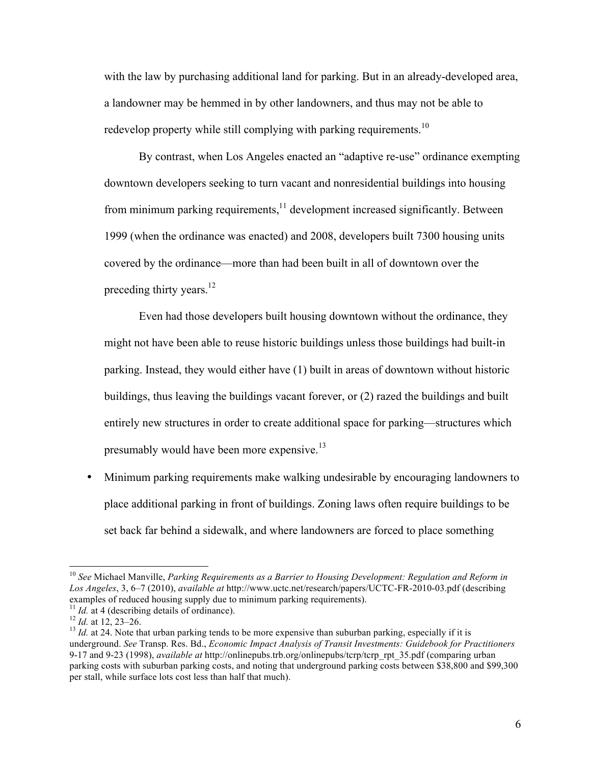with the law by purchasing additional land for parking. But in an already-developed area, a landowner may be hemmed in by other landowners, and thus may not be able to redevelop property while still complying with parking requirements.<sup>10</sup>

By contrast, when Los Angeles enacted an "adaptive re-use" ordinance exempting downtown developers seeking to turn vacant and nonresidential buildings into housing from minimum parking requirements,<sup>11</sup> development increased significantly. Between 1999 (when the ordinance was enacted) and 2008, developers built 7300 housing units covered by the ordinance—more than had been built in all of downtown over the preceding thirty years.<sup>12</sup>

Even had those developers built housing downtown without the ordinance, they might not have been able to reuse historic buildings unless those buildings had built-in parking. Instead, they would either have (1) built in areas of downtown without historic buildings, thus leaving the buildings vacant forever, or (2) razed the buildings and built entirely new structures in order to create additional space for parking—structures which presumably would have been more expensive.<sup>13</sup>

• Minimum parking requirements make walking undesirable by encouraging landowners to place additional parking in front of buildings. Zoning laws often require buildings to be set back far behind a sidewalk, and where landowners are forced to place something

<u> 1989 - Johann Stein, markin film yn y breninn y breninn y breninn y breninn y breninn y breninn y breninn y b</u>

<sup>10</sup> *See* Michael Manville, *Parking Requirements as a Barrier to Housing Development: Regulation and Reform in Los Angeles*, 3, 6–7 (2010), *available at* <http://www.uctc.net/research/papers/UCTC-FR-2010-03.pdf> (describing examples of reduced housing supply due to minimum parking requirements).

<sup>&</sup>lt;sup>11</sup> *Id.* at 4 (describing details of ordinance).<br><sup>12</sup> *Id.* at 12, 23–26.<br><sup>13</sup> *Id.* at 24. Note that urban parking tends to be more expensive than suburban parking, especially if it is underground. *See* Transp. Res. Bd., *Economic Impact Analysis of Transit Investments: Guidebook for Practitioners* 9-17 and 9-23 (1998), *available at* [http://onlinepubs.trb.org/onlinepubs/tcrp/tcrp\\_rpt\\_35.pdf](http://onlinepubs.trb.org/onlinepubs/tcrp/tcrp_rpt_35.pdf) (comparing urban parking costs with suburban parking costs, and noting that underground parking costs between \$38,800 and \$99,300 per stall, while surface lots cost less than half that much).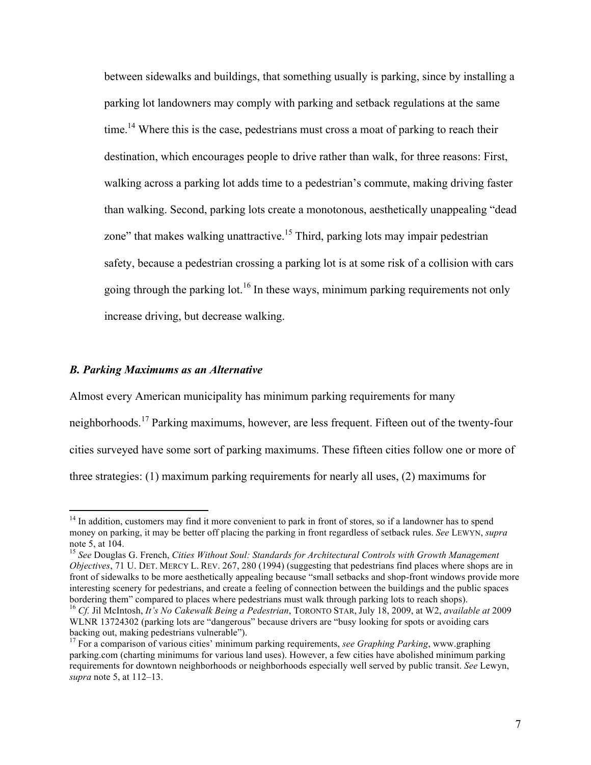between sidewalks and buildings, that something usually is parking, since by installing a parking lot landowners may comply with parking and setback regulations at the same time.<sup>14</sup> Where this is the case, pedestrians must cross a moat of parking to reach their destination, which encourages people to drive rather than walk, for three reasons: First, walking across a parking lot adds time to a pedestrian's commute, making driving faster than walking. Second, parking lots create a monotonous, aesthetically unappealing "dead zone" that makes walking unattractive.<sup>15</sup> Third, parking lots may impair pedestrian safety, because a pedestrian crossing a parking lot is at some risk of a collision with cars going through the parking lot.<sup>16</sup> In these ways, minimum parking requirements not only increase driving, but decrease walking.

#### *B. Parking Maximums as an Alternative*

<u> 1989 - Johann Stein, markin film yn y breninn y breninn y breninn y breninn y breninn y breninn y breninn y b</u>

Almost every American municipality has minimum parking requirements for many neighborhoods.<sup>17</sup> Parking maximums, however, are less frequent. Fifteen out of the twenty-four cities surveyed have some sort of parking maximums. These fifteen cities follow one or more of three strategies: (1) maximum parking requirements for nearly all uses, (2) maximums for

<sup>&</sup>lt;sup>14</sup> In addition, customers may find it more convenient to park in front of stores, so if a landowner has to spend money on parking, it may be better off placing the parking in front regardless of setback rules. *See* LEWYN, *supra*

<sup>&</sup>lt;sup>15</sup> See Douglas G. French, *Cities Without Soul: Standards for Architectural Controls with Growth Management Objectives*, 71 U. DET. MERCY L. REV. 267, 280 (1994) (suggesting that pedestrians find places where shops are in front of sidewalks to be more aesthetically appealing because "small setbacks and shop-front windows provide more interesting scenery for pedestrians, and create a feeling of connection between the buildings and the public spaces bordering them" compared to places where pedestrians must walk through parking lots to reach shops).<br><sup>16</sup> Cf. Jil McIntosh, *It's No Cakewalk Being a Pedestrian*, TORONTO STAR, July 18, 2009, at W2, *available at* 2009 WLNR 13724302 (parking lots are "dangerous" because drivers are "busy looking for spots or avoiding cars

backing out, making pedestrians vulnerable"). <sup>17</sup> For a comparison of various cities' minimum parking requirements, *see Graphing Parking*, [www.graphing](www.graphingparking.com)

[parking.com](www.graphingparking.com) (charting minimums for various land uses). However, a few cities have abolished minimum parking requirements for downtown neighborhoods or neighborhoods especially well served by public transit. *See* Lewyn, *supra* note 5, at 112–13.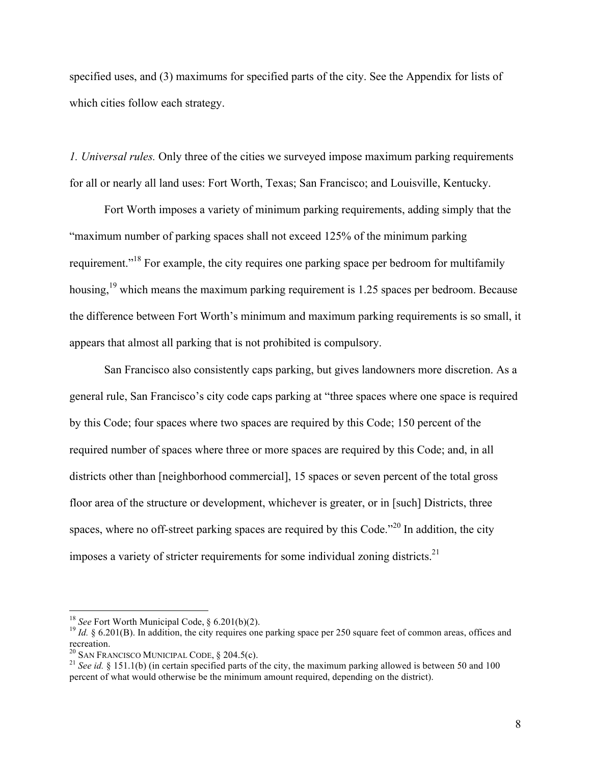specified uses, and (3) maximums for specified parts of the city. See the Appendix for lists of which cities follow each strategy.

*1. Universal rules.* Only three of the cities we surveyed impose maximum parking requirements for all or nearly all land uses: Fort Worth, Texas; San Francisco; and Louisville, Kentucky.

Fort Worth imposes a variety of minimum parking requirements, adding simply that the "maximum number of parking spaces shall not exceed 125% of the minimum parking requirement."<sup>18</sup> For example, the city requires one parking space per bedroom for multifamily housing,<sup>19</sup> which means the maximum parking requirement is 1.25 spaces per bedroom. Because the difference between Fort Worth's minimum and maximum parking requirements is so small, it appears that almost all parking that is not prohibited is compulsory.

San Francisco also consistently caps parking, but gives landowners more discretion. As a general rule, San Francisco's city code caps parking at "three spaces where one space is required by this Code; four spaces where two spaces are required by this Code; 150 percent of the required number of spaces where three or more spaces are required by this Code; and, in all districts other than [neighborhood commercial], 15 spaces or seven percent of the total gross floor area of the structure or development, whichever is greater, or in [such] Districts, three spaces, where no off-street parking spaces are required by this Code."<sup>20</sup> In addition, the city imposes a variety of stricter requirements for some individual zoning districts.<sup>21</sup>

<u> 1989 - Johann Stein, markin film yn y breninn y breninn y breninn y breninn y breninn y breninn y breninn y b</u>

<sup>&</sup>lt;sup>18</sup> *See* Fort Worth Municipal Code, § 6.201(b)(2).<br><sup>19</sup> *Id.* § 6.201(B). In addition, the city requires one parking space per 250 square feet of common areas, offices and recreation.<br><sup>20</sup> SAN FRANCISCO MUNICIPAL CODE, § 204.5(c).

<sup>&</sup>lt;sup>21</sup> See *id.* § 151.1(b) (in certain specified parts of the city, the maximum parking allowed is between 50 and 100 percent of what would otherwise be the minimum amount required, depending on the district).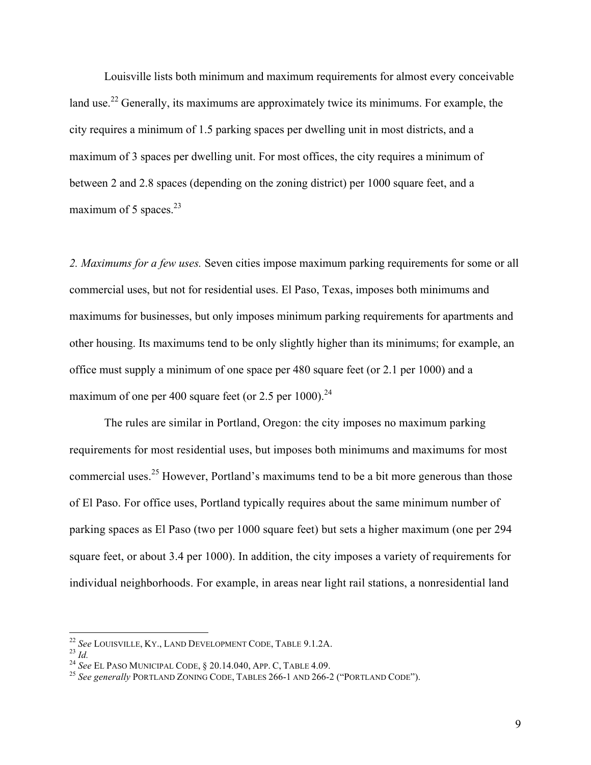Louisville lists both minimum and maximum requirements for almost every conceivable land use.<sup>22</sup> Generally, its maximums are approximately twice its minimums. For example, the city requires a minimum of 1.5 parking spaces per dwelling unit in most districts, and a maximum of 3 spaces per dwelling unit. For most offices, the city requires a minimum of between 2 and 2.8 spaces (depending on the zoning district) per 1000 square feet, and a maximum of 5 spaces. $^{23}$ 

*2. Maximums for a few uses.* Seven cities impose maximum parking requirements for some or all commercial uses, but not for residential uses. El Paso, Texas, imposes both minimums and maximums for businesses, but only imposes minimum parking requirements for apartments and other housing. Its maximums tend to be only slightly higher than its minimums; for example, an office must supply a minimum of one space per 480 square feet (or 2.1 per 1000) and a maximum of one per 400 square feet (or 2.5 per 1000).<sup>24</sup>

The rules are similar in Portland, Oregon: the city imposes no maximum parking requirements for most residential uses, but imposes both minimums and maximums for most commercial uses.<sup>25</sup> However, Portland's maximums tend to be a bit more generous than those of El Paso. For office uses, Portland typically requires about the same minimum number of parking spaces as El Paso (two per 1000 square feet) but sets a higher maximum (one per 294 square feet, or about 3.4 per 1000). In addition, the city imposes a variety of requirements for individual neighborhoods. For example, in areas near light rail stations, a nonresidential land

<sup>&</sup>lt;sup>22</sup> See LOUISVILLE, KY., LAND DEVELOPMENT CODE, TABLE 9.1.2A.<br><sup>23</sup> Id.<br><sup>24</sup> See EL PASO MUNICIPAL CODE, § 20.14.040, APP. C, TABLE 4.09.<br><sup>25</sup> See generally PORTLAND ZONING CODE, TABLES 266-1 AND 266-2 ("PORTLAND CODE").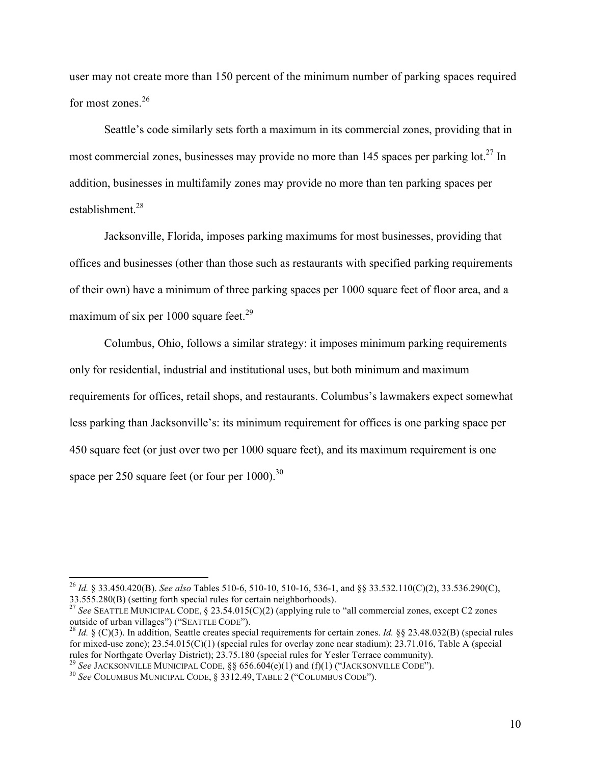user may not create more than 150 percent of the minimum number of parking spaces required for most zones.<sup>26</sup>

Seattle's code similarly sets forth a maximum in its commercial zones, providing that in most commercial zones, businesses may provide no more than 145 spaces per parking  $\cot^{27}$  In addition, businesses in multifamily zones may provide no more than ten parking spaces per establishment.28

Jacksonville, Florida, imposes parking maximums for most businesses, providing that offices and businesses (other than those such as restaurants with specified parking requirements of their own) have a minimum of three parking spaces per 1000 square feet of floor area, and a maximum of six per 1000 square feet.<sup>29</sup>

Columbus, Ohio, follows a similar strategy: it imposes minimum parking requirements only for residential, industrial and institutional uses, but both minimum and maximum requirements for offices, retail shops, and restaurants. Columbus's lawmakers expect somewhat less parking than Jacksonville's: its minimum requirement for offices is one parking space per 450 square feet (or just over two per 1000 square feet), and its maximum requirement is one space per 250 square feet (or four per  $1000$ ).<sup>30</sup>

<sup>26</sup> *Id.* § 33.450.420(B). *See also* Tables 510-6, 510-10, 510-16, 536-1, and §§ 33.532.110(C)(2), 33.536.290(C),

<sup>33.555.280(</sup>B) (setting forth special rules for certain neighborhoods).<br><sup>27</sup> *See* SEATTLE MUNICIPAL CODE, § 23.54.015(C)(2) (applying rule to "all commercial zones, except C2 zones outside of urban villages") ("SEATTLE COD

<sup>&</sup>lt;sup>28</sup> *Id.* § (C)(3). In addition, Seattle creates special requirements for certain zones. *Id.* §§ 23.48.032(B) (special rules for mixed-use zone); 23.54.015(C)(1) (special rules for overlay zone near stadium); 23.71.016, Table A (special rules for Northgate Overlay District); 23.75.180 (special rules for Yesler Terrace community).

<sup>&</sup>lt;sup>29</sup> See JACKSONVILLE MUNICIPAL CODE, §§ 656.604(e)(1) and (f)(1) ("JACKSONVILLE CODE").<br><sup>30</sup> See COLUMBUS MUNICIPAL CODE, § 3312.49, TABLE 2 ("COLUMBUS CODE").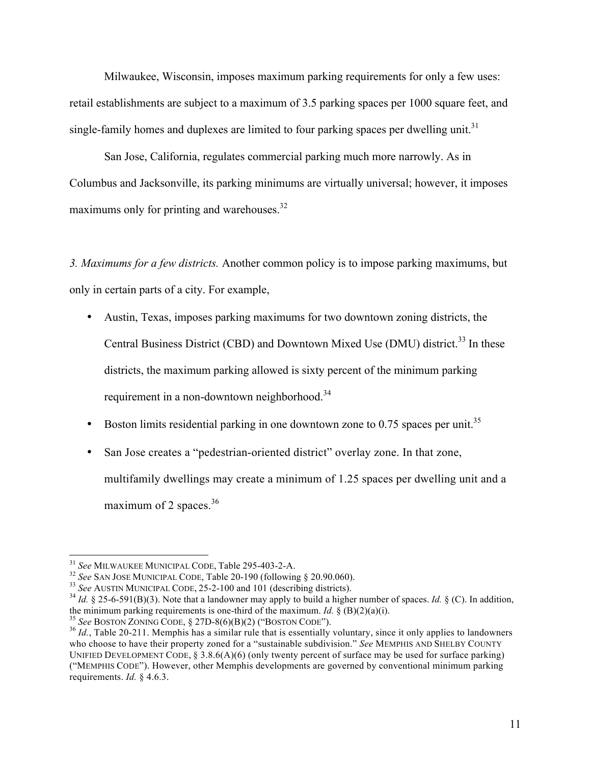Milwaukee, Wisconsin, imposes maximum parking requirements for only a few uses: retail establishments are subject to a maximum of 3.5 parking spaces per 1000 square feet, and single-family homes and duplexes are limited to four parking spaces per dwelling unit.<sup>31</sup>

San Jose, California, regulates commercial parking much more narrowly. As in Columbus and Jacksonville, its parking minimums are virtually universal; however, it imposes maximums only for printing and warehouses.<sup>32</sup>

*3. Maximums for a few districts.* Another common policy is to impose parking maximums, but only in certain parts of a city. For example,

- Austin, Texas, imposes parking maximums for two downtown zoning districts, the Central Business District (CBD) and Downtown Mixed Use (DMU) district.<sup>33</sup> In these districts, the maximum parking allowed is sixty percent of the minimum parking requirement in a non-downtown neighborhood.<sup>34</sup>
- Boston limits residential parking in one downtown zone to 0.75 spaces per unit.<sup>35</sup>
- San Jose creates a "pedestrian-oriented district" overlay zone. In that zone, multifamily dwellings may create a minimum of 1.25 spaces per dwelling unit and a maximum of 2 spaces. $36$

<sup>&</sup>lt;sup>31</sup> See MILWAUKEE MUNICIPAL CODE, Table 295-403-2-A.

<sup>&</sup>lt;sup>32</sup> See SAN JOSE MUNICIPAL CODE, Table 20-190 (following § 20.90.060).<br><sup>33</sup> See AUSTIN MUNICIPAL CODE, 25-2-100 and 101 (describing districts).<br><sup>34</sup> *Id.* § 25-6-591(B)(3). Note that a landowner may apply to build a high

<sup>&</sup>lt;sup>35</sup> See BOSTON ZONING CODE, § 27D-8(6)(B)(2) ("BOSTON CODE").<br><sup>36</sup> *Id.*, Table 20-211. Memphis has a similar rule that is essentially voluntary, since it only applies to landowners who choose to have their property zoned for a "sustainable subdivision." *See* MEMPHIS AND SHELBY COUNTY UNIFIED DEVELOPMENT CODE,  $\S 3.8.6(A)(6)$  (only twenty percent of surface may be used for surface parking) ("MEMPHIS CODE"). However, other Memphis developments are governed by conventional minimum parking requirements. *Id.* § 4.6.3.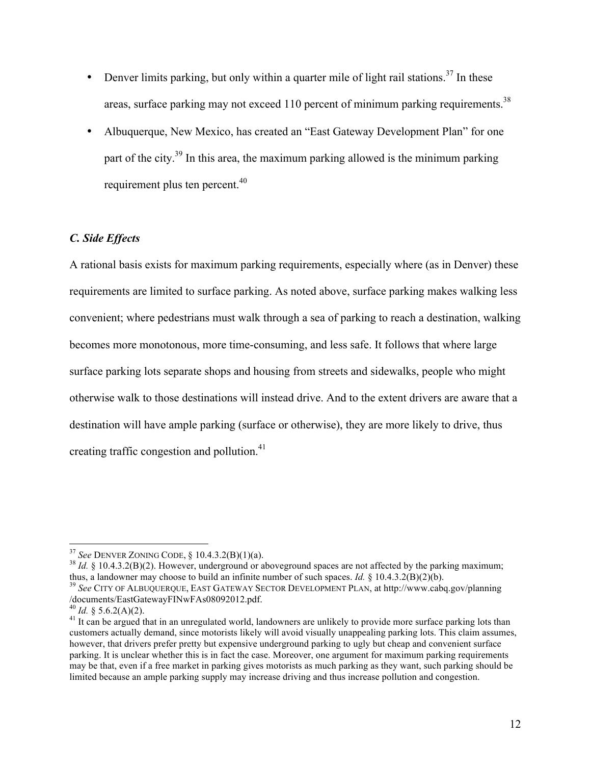- Denver limits parking, but only within a quarter mile of light rail stations.<sup>37</sup> In these areas, surface parking may not exceed 110 percent of minimum parking requirements.<sup>38</sup>
- Albuquerque, New Mexico, has created an "East Gateway Development Plan" for one part of the city.<sup>39</sup> In this area, the maximum parking allowed is the minimum parking requirement plus ten percent.<sup>40</sup>

### *C. Side Effects*

A rational basis exists for maximum parking requirements, especially where (as in Denver) these requirements are limited to surface parking. As noted above, surface parking makes walking less convenient; where pedestrians must walk through a sea of parking to reach a destination, walking becomes more monotonous, more time-consuming, and less safe. It follows that where large surface parking lots separate shops and housing from streets and sidewalks, people who might otherwise walk to those destinations will instead drive. And to the extent drivers are aware that a destination will have ample parking (surface or otherwise), they are more likely to drive, thus creating traffic congestion and pollution.<sup>41</sup>

<sup>38</sup> *Id.* § 10.4.3.2(B)(2). However, underground or aboveground spaces are not affected by the parking maximum; thus, a landowner may choose to build an infinite number of such spaces. *Id.* § 10.4.3.2(B)(2)(b).

<sup>39</sup> See CITY OF ALBUQUERQUE, EAST GATEWAY SECTOR DEVELOPMENT PLAN, at [http://www.cabq.gov/planning](http://www.cabq.gov/planning/documents/EastGatewayFINwFAs08092012.pdf) [/documents/EastGatewayFINwFAs08092012.pdf.](http://www.cabq.gov/planning/documents/EastGatewayFINwFAs08092012.pdf)<br> $^{40}$  Id. § 5.6.2(A)(2).

<sup>&</sup>lt;sup>37</sup> See DENVER ZONING CODE, § 10.4.3.2(B)(1)(a).

<sup>&</sup>lt;sup>41</sup> It can be argued that in an unregulated world, landowners are unlikely to provide more surface parking lots than customers actually demand, since motorists likely will avoid visually unappealing parking lots. This claim assumes, however, that drivers prefer pretty but expensive underground parking to ugly but cheap and convenient surface parking. It is unclear whether this is in fact the case. Moreover, one argument for maximum parking requirements may be that, even if a free market in parking gives motorists as much parking as they want, such parking should be limited because an ample parking supply may increase driving and thus increase pollution and congestion.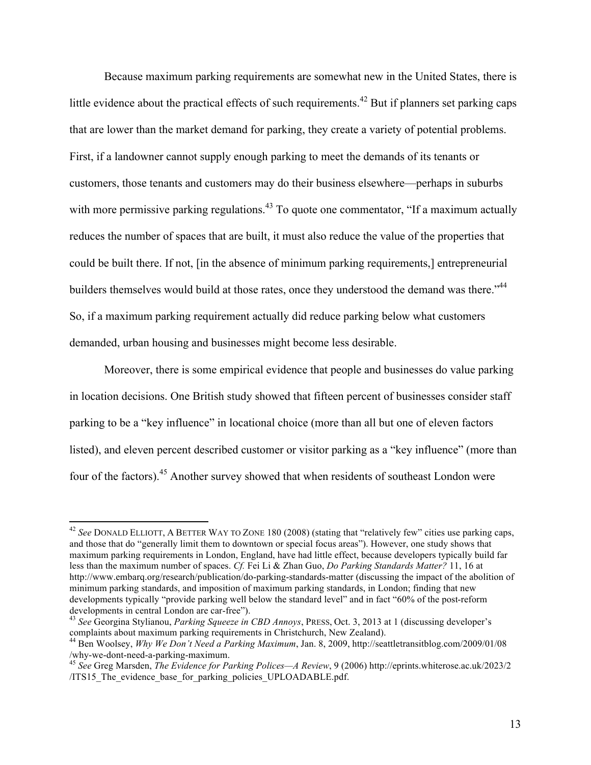Because maximum parking requirements are somewhat new in the United States, there is little evidence about the practical effects of such requirements.<sup>42</sup> But if planners set parking caps that are lower than the market demand for parking, they create a variety of potential problems. First, if a landowner cannot supply enough parking to meet the demands of its tenants or customers, those tenants and customers may do their business elsewhere—perhaps in suburbs with more permissive parking regulations.<sup>43</sup> To quote one commentator, "If a maximum actually reduces the number of spaces that are built, it must also reduce the value of the properties that could be built there. If not, [in the absence of minimum parking requirements,] entrepreneurial builders themselves would build at those rates, once they understood the demand was there."<sup>44</sup> So, if a maximum parking requirement actually did reduce parking below what customers demanded, urban housing and businesses might become less desirable.

Moreover, there is some empirical evidence that people and businesses do value parking in location decisions. One British study showed that fifteen percent of businesses consider staff parking to be a "key influence" in locational choice (more than all but one of eleven factors listed), and eleven percent described customer or visitor parking as a "key influence" (more than four of the factors).<sup>45</sup> Another survey showed that when residents of southeast London were

<sup>42</sup> *See* DONALD ELLIOTT, A BETTER WAY TO ZONE 180 (2008) (stating that "relatively few" cities use parking caps, and those that do "generally limit them to downtown or special focus areas"). However, one study shows that maximum parking requirements in London, England, have had little effect, because developers typically build far less than the maximum number of spaces. *Cf.* Fei Li & Zhan Guo, *Do Parking Standards Matter?* 11, 16 at <http://www.embarq.org/research/publication/do-parking-standards-matter>(discussing the impact of the abolition of minimum parking standards, and imposition of maximum parking standards, in London; finding that new developments typically "provide parking well below the standard level" and in fact "60% of the post-reform developments in central London are car-free").

<sup>&</sup>lt;sup>43</sup> *See* Georgina Stylianou, *Parking Squeeze in CBD Annoys*, PRESS, Oct. 3, 2013 at 1 (discussing developer's complaints about maximum parking requirements in Christchurch, New Zealand).

<sup>&</sup>lt;sup>44</sup> Ben Woolsey, *Why We Don't Need a Parking Maximum*, Jan. 8, 2009, [http://seattletransitblog.com/2009/01/08](http://seattletransitblog.com/2009/01/08/why-we-dont-need-a-parking-maximum) /why-we-dont-need-a-parking-maximum.

<sup>&</sup>lt;sup>45</sup> See Greg Marsden, *The Evidence for Parking Polices—A Review*, 9 (2006) [http://eprints.whiterose.ac.uk/2023/2](http://eprints.whiterose.ac.uk/2023/2/ITS15_The_evidence_base_for_parking_policies_UPLOADABLE.pdf) /ITS15 The evidence base for parking policies UPLOADABLE.pdf.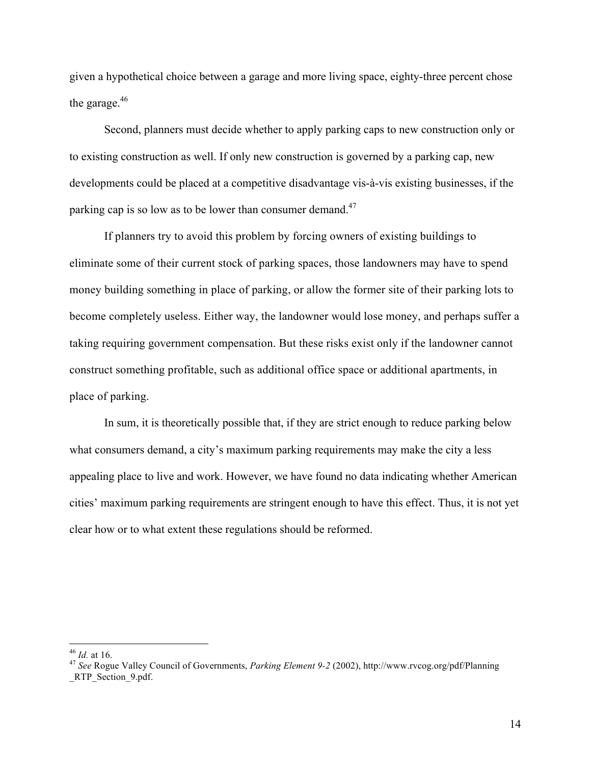given a hypothetical choice between a garage and more living space, eighty-three percent chose the garage.<sup>46</sup>

Second, planners must decide whether to apply parking caps to new construction only or to existing construction as well. If only new construction is governed by a parking cap, new developments could be placed at a competitive disadvantage vis-à-vis existing businesses, if the parking cap is so low as to be lower than consumer demand.<sup>47</sup>

If planners try to avoid this problem by forcing owners of existing buildings to eliminate some of their current stock of parking spaces, those landowners may have to spend money building something in place of parking, or allow the former site of their parking lots to become completely useless. Either way, the landowner would lose money, and perhaps suffer a taking requiring government compensation. But these risks exist only if the landowner cannot construct something profitable, such as additional office space or additional apartments, in place of parking.

In sum, it is theoretically possible that, if they are strict enough to reduce parking below what consumers demand, a city's maximum parking requirements may make the city a less appealing place to live and work. However, we have found no data indicating whether American cities' maximum parking requirements are stringent enough to have this effect. Thus, it is not yet clear how or to what extent these regulations should be reformed.

<sup>46</sup> *Id.* at 16. <sup>47</sup> *See* Rogue Valley Council of Governments, *Parking Element 9-2* (2002), [http://www.rvcog.org/pdf/Planning](http://www.rvcog.org/pdf/Planning_RTP_Section_9.pdf) RTP\_Section\_9.pdf.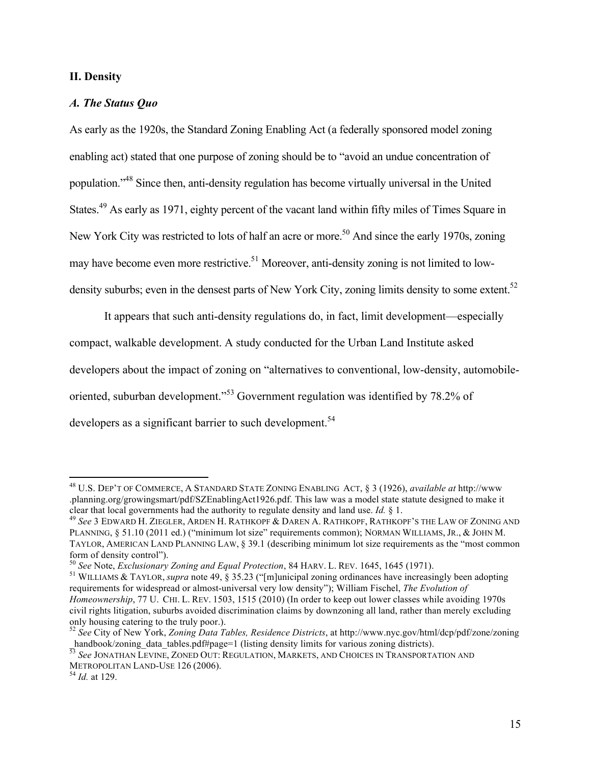# **II. Density**

# *A. The Status Quo*

As early as the 1920s, the Standard Zoning Enabling Act (a federally sponsored model zoning enabling act) stated that one purpose of zoning should be to "avoid an undue concentration of population."48 Since then, anti-density regulation has become virtually universal in the United States.<sup>49</sup> As early as 1971, eighty percent of the vacant land within fifty miles of Times Square in New York City was restricted to lots of half an acre or more.<sup>50</sup> And since the early 1970s, zoning may have become even more restrictive.<sup>51</sup> Moreover, anti-density zoning is not limited to lowdensity suburbs; even in the densest parts of New York City, zoning limits density to some extent.<sup>52</sup>

It appears that such anti-density regulations do, in fact, limit development—especially compact, walkable development. A study conducted for the Urban Land Institute asked developers about the impact of zoning on "alternatives to conventional, low-density, automobileoriented, suburban development."<sup>53</sup> Government regulation was identified by 78.2% of developers as a significant barrier to such development.<sup>54</sup>

<sup>48</sup> U.S. DEP'T OF COMMERCE, A STANDARD STATE ZONING ENABLING ACT, § 3 (1926), *available at* [http://www](http://www.planning.org/growingsmart/pdf/SZEnablingAct1926.pdf) [.planning.org/growingsmart/pdf/SZEnablingAct1926.pdf.](http://www.planning.org/growingsmart/pdf/SZEnablingAct1926.pdf) This law was a model state statute designed to make it clear that local governments had the authority to regulate density and land use. *Id.* § 1.<br><sup>49</sup> *See* 3 EDWARD H. ZIEGLER, ARDEN H. RATHKOPF & DAREN A. RATHKOPF, RATHKOPF'S THE LAW OF ZONING AND

PLANNING, § 51.10 (2011 ed.) ("minimum lot size" requirements common); NORMAN WILLIAMS, JR., & JOHN M. TAYLOR, AMERICAN LAND PLANNING LAW, § 39.1 (describing minimum lot size requirements as the "most common form of density control").<br><sup>50</sup> See Note, *Exclusionary Zoning and Equal Protection*, 84 HARV. L. REV. 1645, 1645 (1971).

<sup>&</sup>lt;sup>51</sup> WILLIAMS & TAYLOR, *supra* note 49, § 35.23 ("[m]unicipal zoning ordinances have increasingly been adopting requirements for widespread or almost-universal very low density"); William Fischel, *The Evolution of Homeownership*, 77 U. CHI. L. REV. 1503, 1515 (2010) (In order to keep out lower classes while avoiding 1970s civil rights litigation, suburbs avoided discrimination claims by downzoning all land, rather than merely excluding only housing catering to the truly poor.). <sup>52</sup> *See* City of New York, *Zoning Data Tables, Residence Districts*, at [http://www.nyc.gov/html/dcp/pdf/zone/zoning](http://www.nyc.gov/html/dcp/pdf/zone/zoning_handbook/zoning_data_tables.pdf#page=1)

handbook/zoning\_data\_tables.pdf#page=1 (listing density limits for various zoning districts).

<sup>53</sup> *See* JONATHAN LEVINE, ZONED OUT: REGULATION, MARKETS, AND CHOICES IN TRANSPORTATION AND METROPOLITAN LAND-USE <sup>126</sup> (2006). <sup>54</sup> *Id.* at 129.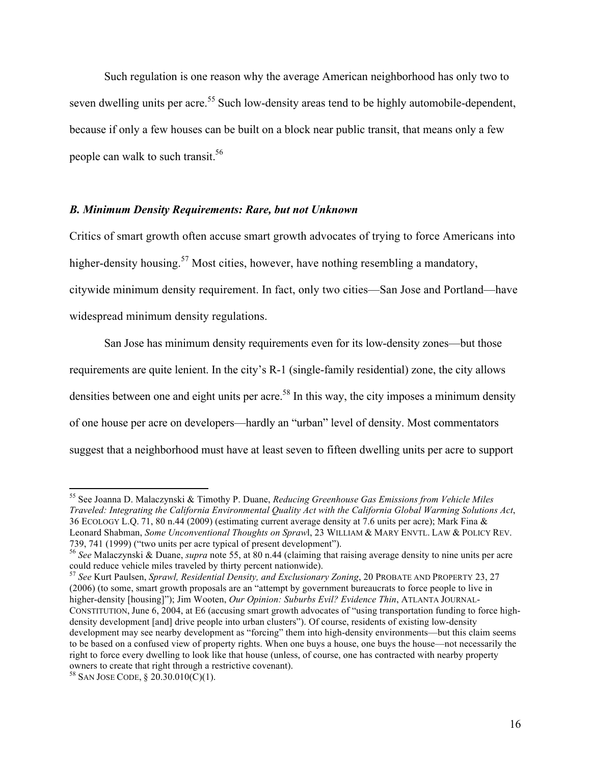Such regulation is one reason why the average American neighborhood has only two to seven dwelling units per acre.<sup>55</sup> Such low-density areas tend to be highly automobile-dependent, because if only a few houses can be built on a block near public transit, that means only a few people can walk to such transit.<sup>56</sup>

#### *B. Minimum Density Requirements: Rare, but not Unknown*

Critics of smart growth often accuse smart growth advocates of trying to force Americans into higher-density housing.<sup>57</sup> Most cities, however, have nothing resembling a mandatory. citywide minimum density requirement. In fact, only two cities—San Jose and Portland—have widespread minimum density regulations.

San Jose has minimum density requirements even for its low-density zones—but those requirements are quite lenient. In the city's R-1 (single-family residential) zone, the city allows densities between one and eight units per acre.<sup>58</sup> In this way, the city imposes a minimum density of one house per acre on developers—hardly an "urban" level of density. Most commentators suggest that a neighborhood must have at least seven to fifteen dwelling units per acre to support

<sup>55</sup> See Joanna D. Malaczynski & Timothy P. Duane, *Reducing Greenhouse Gas Emissions from Vehicle Miles Traveled: Integrating the California Environmental Quality Act with the California Global Warming Solutions Act*, 36 ECOLOGY L.Q. 71, 80 n.44 (2009) (estimating current average density at 7.6 units per acre); Mark Fina & Leonard Shabman, *Some Unconventional Thoughts on Spraw*l, 23 WILLIAM & MARY ENVTL. LAW & POLICY REV.

<sup>739, 741 (1999) (&</sup>quot;two units per acre typical of present development"). <sup>56</sup> *See* Malaczynski & Duane, *supra* note 55, at 80 n.44 (claiming that raising average density to nine units per acre could reduce vehicle miles traveled by thirty percent nationwide). <sup>57</sup> *See* Kurt Paulsen, *Sprawl, Residential Density, and Exclusionary Zoning*, 20 PROBATE AND PROPERTY 23, 27

<sup>(2006) (</sup>to some, smart growth proposals are an "attempt by government bureaucrats to force people to live in higher-density [housing]"); Jim Wooten, *Our Opinion: Suburbs Evil? Evidence Thin*, ATLANTA JOURNAL-CONSTITUTION, June 6, 2004, at E6 (accusing smart growth advocates of "using transportation funding to force highdensity development [and] drive people into urban clusters"). Of course, residents of existing low-density development may see nearby development as "forcing" them into high-density environments—but this claim seems to be based on a confused view of property rights. When one buys a house, one buys the house—not necessarily the right to force every dwelling to look like that house (unless, of course, one has contracted with nearby property owners to create that right through a restrictive covenant).

<sup>58</sup> SAN JOSE CODE, § 20.30.010(C)(1).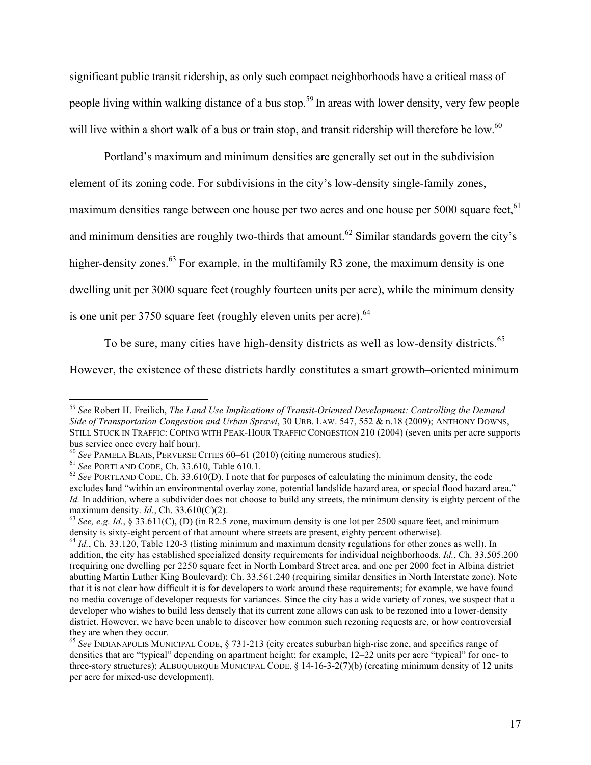significant public transit ridership, as only such compact neighborhoods have a critical mass of people living within walking distance of a bus stop.<sup>59</sup> In areas with lower density, very few people will live within a short walk of a bus or train stop, and transit ridership will therefore be low.<sup>60</sup>

Portland's maximum and minimum densities are generally set out in the subdivision element of its zoning code. For subdivisions in the city's low-density single-family zones, maximum densities range between one house per two acres and one house per 5000 square feet, <sup>61</sup> and minimum densities are roughly two-thirds that amount.<sup>62</sup> Similar standards govern the city's higher-density zones.<sup>63</sup> For example, in the multifamily R3 zone, the maximum density is one dwelling unit per 3000 square feet (roughly fourteen units per acre), while the minimum density is one unit per  $3750$  square feet (roughly eleven units per acre).  $64$ 

To be sure, many cities have high-density districts as well as low-density districts.<sup>65</sup>

However, the existence of these districts hardly constitutes a smart growth–oriented minimum

<sup>59</sup> *See* Robert H. Freilich, *The Land Use Implications of Transit-Oriented Development: Controlling the Demand Side of Transportation Congestion and Urban Sprawl*, 30 URB. LAW. 547, 552 & n.18 (2009); ANTHONY DOWNS, STILL STUCK IN TRAFFIC: COPING WITH PEAK-HOUR TRAFFIC CONGESTION 210 (2004) (seven units per acre supports bus service once every half hour).<br>
<sup>60</sup> See PAMELA BLAIS, PERVERSE CITIES 60–61 (2010) (citing numerous studies).<br>
<sup>61</sup> See PORTLAND CODE, Ch. 33.610, Table 610.1.<br>
<sup>62</sup> See PORTLAND CODE, Ch. 33.610(D). I note that for

excludes land "within an environmental overlay zone, potential landslide hazard area, or special flood hazard area." *Id.* In addition, where a subdivider does not choose to build any streets, the minimum density is eighty percent of the maximum density. *Id.*, Ch. 33.610(C)(2).<br><sup>63</sup> *See, e.g. Id.*, § 33.611(C), (D) (in R2.5 zone, maximum density is one lot per 2500 square feet, and minimum

density is sixty-eight percent of that amount where streets are present, eighty percent otherwise).<br><sup>64</sup> *Id.*, Ch. 33.120, Table 120-3 (listing minimum and maximum density regulations for other zones as well). In

addition, the city has established specialized density requirements for individual neighborhoods. *Id.*, Ch. 33.505.200 (requiring one dwelling per 2250 square feet in North Lombard Street area, and one per 2000 feet in Albina district abutting Martin Luther King Boulevard); Ch. 33.561.240 (requiring similar densities in North Interstate zone). Note that it is not clear how difficult it is for developers to work around these requirements; for example, we have found no media coverage of developer requests for variances. Since the city has a wide variety of zones, we suspect that a developer who wishes to build less densely that its current zone allows can ask to be rezoned into a lower-density district. However, we have been unable to discover how common such rezoning requests are, or how controversial they are when they occur.

<sup>65</sup> *See* INDIANAPOLIS MUNICIPAL CODE, § 731-213 (city creates suburban high-rise zone, and specifies range of densities that are "typical" depending on apartment height; for example, 12–22 units per acre "typical" for one- to three-story structures); ALBUQUERQUE MUNICIPAL CODE, § 14-16-3-2(7)(b) (creating minimum density of 12 units per acre for mixed-use development).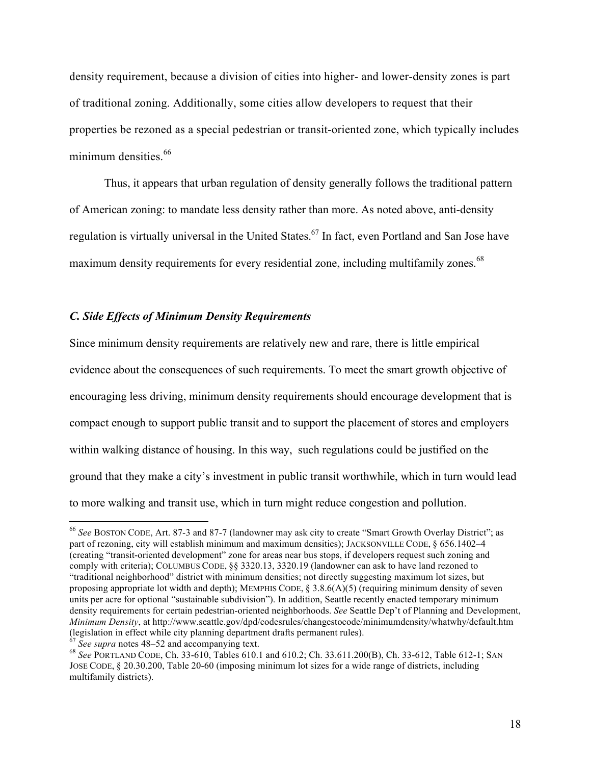density requirement, because a division of cities into higher- and lower-density zones is part of traditional zoning. Additionally, some cities allow developers to request that their properties be rezoned as a special pedestrian or transit-oriented zone, which typically includes minimum densities.<sup>66</sup>

Thus, it appears that urban regulation of density generally follows the traditional pattern of American zoning: to mandate less density rather than more. As noted above, anti-density regulation is virtually universal in the United States.<sup>67</sup> In fact, even Portland and San Jose have maximum density requirements for every residential zone, including multifamily zones.<sup>68</sup>

#### *C. Side Effects of Minimum Density Requirements*

Since minimum density requirements are relatively new and rare, there is little empirical evidence about the consequences of such requirements. To meet the smart growth objective of encouraging less driving, minimum density requirements should encourage development that is compact enough to support public transit and to support the placement of stores and employers within walking distance of housing. In this way, such regulations could be justified on the ground that they make a city's investment in public transit worthwhile, which in turn would lead to more walking and transit use, which in turn might reduce congestion and pollution.

<sup>66</sup> *See* BOSTON CODE, Art. 87-3 and 87-7 (landowner may ask city to create "Smart Growth Overlay District"; as part of rezoning, city will establish minimum and maximum densities); JACKSONVILLE CODE, § 656.1402–4 (creating "transit-oriented development" zone for areas near bus stops, if developers request such zoning and comply with criteria); COLUMBUS CODE, §§ 3320.13, 3320.19 (landowner can ask to have land rezoned to "traditional neighborhood" district with minimum densities; not directly suggesting maximum lot sizes, but proposing appropriate lot width and depth); MEMPHIS CODE, § 3.8.6(A)(5) (requiring minimum density of seven units per acre for optional "sustainable subdivision"). In addition, Seattle recently enacted temporary minimum density requirements for certain pedestrian-oriented neighborhoods. *See* Seattle Dep't of Planning and Development, *Minimum Density*, at http://www.seattle.gov/dpd/codesrules/changestocode/minimumdensity/whatwhy/default.htm<br>(legislation in effect while city planning department drafts permanent rules).

<sup>&</sup>lt;sup>67</sup> See supra notes 48–52 and accompanying text.<br><sup>68</sup> See PORTLAND CODE, Ch. 33-610, Tables 610.1 and 610.2; Ch. 33.611.200(B), Ch. 33-612, Table 612-1; SAN JOSE CODE, § 20.30.200, Table 20-60 (imposing minimum lot sizes for a wide range of districts, including multifamily districts).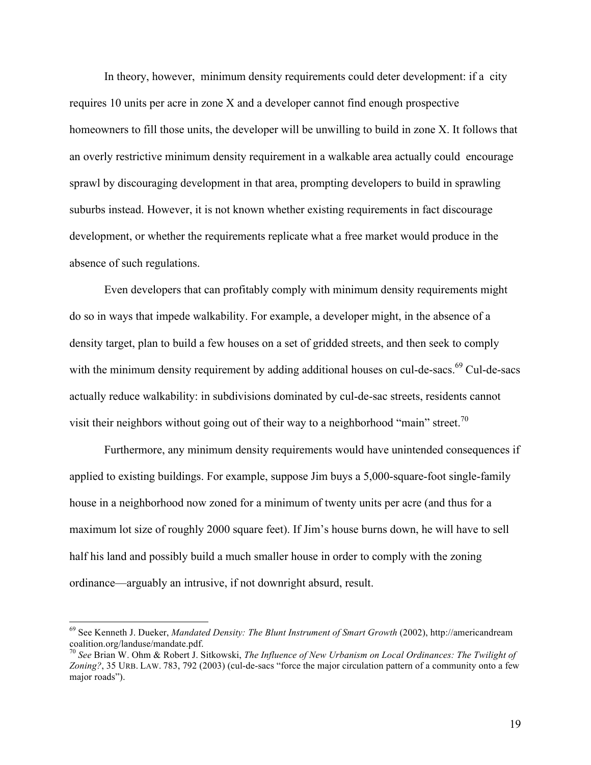In theory, however, minimum density requirements could deter development: if a city requires 10 units per acre in zone X and a developer cannot find enough prospective homeowners to fill those units, the developer will be unwilling to build in zone X. It follows that an overly restrictive minimum density requirement in a walkable area actually could encourage sprawl by discouraging development in that area, prompting developers to build in sprawling suburbs instead. However, it is not known whether existing requirements in fact discourage development, or whether the requirements replicate what a free market would produce in the absence of such regulations.

Even developers that can profitably comply with minimum density requirements might do so in ways that impede walkability. For example, a developer might, in the absence of a density target, plan to build a few houses on a set of gridded streets, and then seek to comply with the minimum density requirement by adding additional houses on cul-de-sacs.<sup>69</sup> Cul-de-sacs actually reduce walkability: in subdivisions dominated by cul-de-sac streets, residents cannot visit their neighbors without going out of their way to a neighborhood "main" street.<sup>70</sup>

Furthermore, any minimum density requirements would have unintended consequences if applied to existing buildings. For example, suppose Jim buys a 5,000-square-foot single-family house in a neighborhood now zoned for a minimum of twenty units per acre (and thus for a maximum lot size of roughly 2000 square feet). If Jim's house burns down, he will have to sell half his land and possibly build a much smaller house in order to comply with the zoning ordinance—arguably an intrusive, if not downright absurd, result.

 <sup>69</sup> See Kenneth J. Dueker, *Mandated Density: The Blunt Instrument of Smart Growth* (2002), [http://americandream](http://americandreamcoalition.org/landuse/mandate.pdf) [coalition.org/landuse/mandate.pdf.](http://americandreamcoalition.org/landuse/mandate.pdf)

<sup>70</sup> *See* Brian W. Ohm & Robert J. Sitkowski, *The Influence of New Urbanism on Local Ordinances: The Twilight of Zoning?*, 35 URB. LAW. 783, 792 (2003) (cul-de-sacs "force the major circulation pattern of a community onto a few major roads").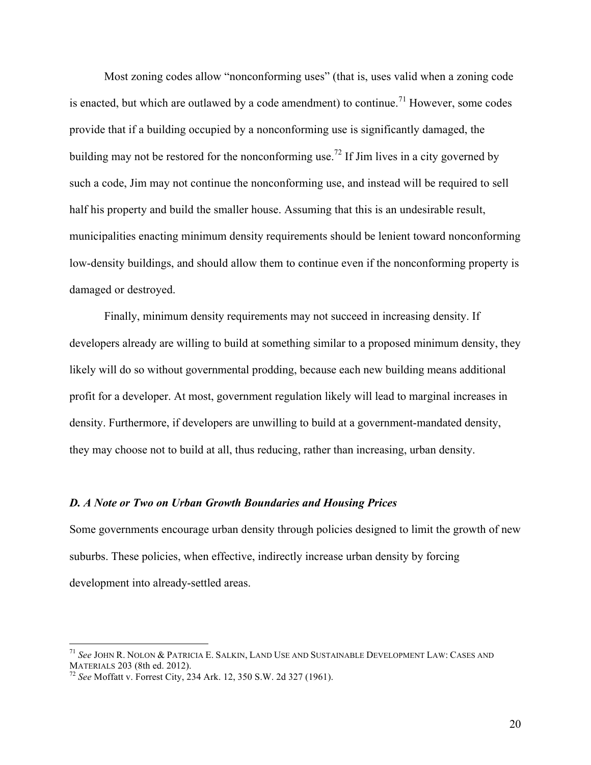Most zoning codes allow "nonconforming uses" (that is, uses valid when a zoning code is enacted, but which are outlawed by a code amendment) to continue.<sup>71</sup> However, some codes provide that if a building occupied by a nonconforming use is significantly damaged, the building may not be restored for the nonconforming use.<sup>72</sup> If Jim lives in a city governed by such a code, Jim may not continue the nonconforming use, and instead will be required to sell half his property and build the smaller house. Assuming that this is an undesirable result, municipalities enacting minimum density requirements should be lenient toward nonconforming low-density buildings, and should allow them to continue even if the nonconforming property is damaged or destroyed.

Finally, minimum density requirements may not succeed in increasing density. If developers already are willing to build at something similar to a proposed minimum density, they likely will do so without governmental prodding, because each new building means additional profit for a developer. At most, government regulation likely will lead to marginal increases in density. Furthermore, if developers are unwilling to build at a government-mandated density, they may choose not to build at all, thus reducing, rather than increasing, urban density.

#### *D. A Note or Two on Urban Growth Boundaries and Housing Prices*

Some governments encourage urban density through policies designed to limit the growth of new suburbs. These policies, when effective, indirectly increase urban density by forcing development into already-settled areas.

<sup>71</sup> *See* JOHN R. NOLON & PATRICIA E. SALKIN, LAND USE AND SUSTAINABLE DEVELOPMENT LAW: CASES AND MATERIALS 203 (8th ed. 2012). <sup>72</sup> *See* Moffatt v. Forrest City, 234 Ark. 12, 350 S.W. 2d 327 (1961).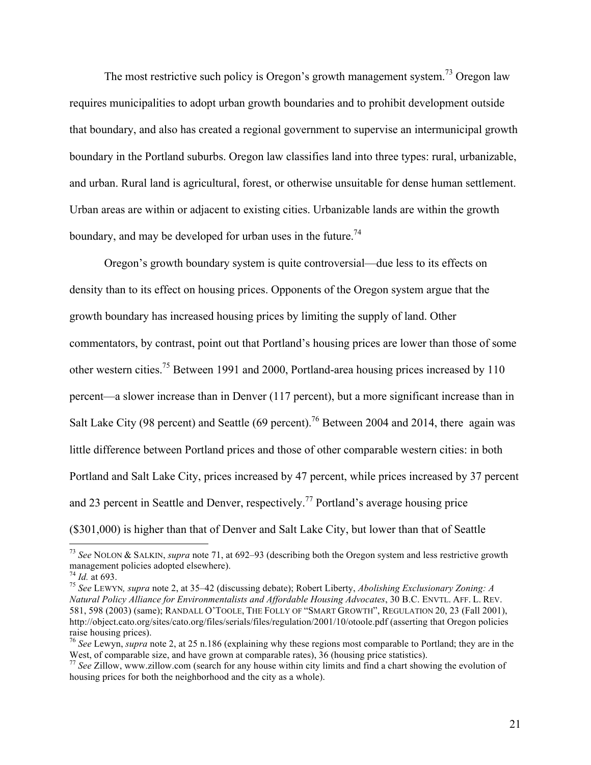The most restrictive such policy is Oregon's growth management system.<sup>73</sup> Oregon law requires municipalities to adopt urban growth boundaries and to prohibit development outside that boundary, and also has created a regional government to supervise an intermunicipal growth boundary in the Portland suburbs. Oregon law classifies land into three types: rural, urbanizable, and urban. Rural land is agricultural, forest, or otherwise unsuitable for dense human settlement. Urban areas are within or adjacent to existing cities. Urbanizable lands are within the growth boundary, and may be developed for urban uses in the future.<sup>74</sup>

Oregon's growth boundary system is quite controversial—due less to its effects on density than to its effect on housing prices. Opponents of the Oregon system argue that the growth boundary has increased housing prices by limiting the supply of land. Other commentators, by contrast, point out that Portland's housing prices are lower than those of some other western cities.<sup>75</sup> Between 1991 and 2000, Portland-area housing prices increased by 110 percent—a slower increase than in Denver (117 percent), but a more significant increase than in Salt Lake City (98 percent) and Seattle (69 percent).<sup>76</sup> Between 2004 and 2014, there again was little difference between Portland prices and those of other comparable western cities: in both Portland and Salt Lake City, prices increased by 47 percent, while prices increased by 37 percent and 23 percent in Seattle and Denver, respectively.<sup>77</sup> Portland's average housing price (\$301,000) is higher than that of Denver and Salt Lake City, but lower than that of Seattle

<sup>73</sup> *See* NOLON & SALKIN, *supra* note 71, at 692–93 (describing both the Oregon system and less restrictive growth management policies adopted elsewhere).<br> $^{74}$  *Id.* at 693.

<sup>&</sup>lt;sup>75</sup> See LEWYN, supra note 2, at 35–42 (discussing debate); Robert Liberty, *Abolishing Exclusionary Zoning: A Natural Policy Alliance for Environmentalists and Affordable Housing Advocates*, 30 B.C. ENVTL. AFF. L. REV. 581, 598 (2003) (same); RANDALL O'TOOLE, THE FOLLY OF "SMART GROWTH", REGULATION 20, 23 (Fall 2001), <http://object.cato.org/sites/cato.org/files/serials/files/regulation/2001/10/otoole.pdf>(asserting that Oregon policies raise housing prices).

<sup>&</sup>lt;sup>76</sup> *See* Lewyn, *supra* note 2, at 25 n.186 (explaining why these regions most comparable to Portland; they are in the West, of comparable size, and have grown at comparable rates), 36 (housing price statistics).

<sup>&</sup>lt;sup>77</sup> See Zillow, <www.zillow.com> (search for any house within city limits and find a chart showing the evolution of housing prices for both the neighborhood and the city as a whole).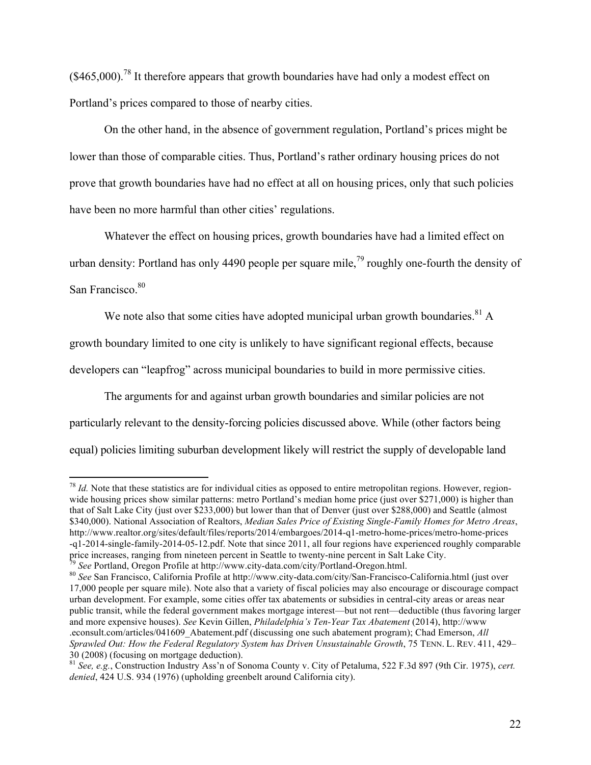$(\$465,000)$ <sup>78</sup>. It therefore appears that growth boundaries have had only a modest effect on Portland's prices compared to those of nearby cities.

On the other hand, in the absence of government regulation, Portland's prices might be lower than those of comparable cities. Thus, Portland's rather ordinary housing prices do not prove that growth boundaries have had no effect at all on housing prices, only that such policies have been no more harmful than other cities' regulations.

Whatever the effect on housing prices, growth boundaries have had a limited effect on urban density: Portland has only 4490 people per square mile,<sup>79</sup> roughly one-fourth the density of San Francisco.<sup>80</sup>

We note also that some cities have adopted municipal urban growth boundaries. $81$  A growth boundary limited to one city is unlikely to have significant regional effects, because developers can "leapfrog" across municipal boundaries to build in more permissive cities.

The arguments for and against urban growth boundaries and similar policies are not particularly relevant to the density-forcing policies discussed above. While (other factors being equal) policies limiting suburban development likely will restrict the supply of developable land

<sup>&</sup>lt;sup>78</sup> *Id*. Note that these statistics are for individual cities as opposed to entire metropolitan regions. However, regionwide housing prices show similar patterns: metro Portland's median home price (just over \$271,000) is higher than that of Salt Lake City (just over \$233,000) but lower than that of Denver (just over \$288,000) and Seattle (almost \$340,000). National Association of Realtors, *Median Sales Price of Existing Single-Family Homes for Metro Areas*, [http://www.realtor.org/sites/default/files/reports/2014/embargoes/2014-q1-metro-home-prices/metro-home-prices](http://www.realtor.org/sites/default/files/reports/2014/embargoes/2014-q1-metro-home-prices/metro-home-prices-q1-2014-single-family-2014-05-12.pdf) [-q1-2014-single-family-2014-05-12.pdf.](http://www.realtor.org/sites/default/files/reports/2014/embargoes/2014-q1-metro-home-prices/metro-home-prices-q1-2014-single-family-2014-05-12.pdf) Note that since 2011, all four regions have experienced roughly comparable

<sup>&</sup>lt;sup>79</sup> See Portland, Oregon Profile at [http://www.city-data.com/city/Portland-Oregon.html.](http://www.city-data.com/city/Portland-Oregon.html)<br><sup>80</sup> See San Francisco, California Profile at<http://www.city-data.com/city/San-Francisco-California.html>(just over

<sup>17,000</sup> people per square mile). Note also that a variety of fiscal policies may also encourage or discourage compact urban development. For example, some cities offer tax abatements or subsidies in central-city areas or areas near public transit, while the federal government makes mortgage interest—but not rent—deductible (thus favoring larger and more expensive houses). *See* Kevin Gillen, *Philadelphia's Ten-Year Tax Abatement* (2014), [http://www](http://www.econsult.com/articles/041609_Abatement.pdf) [.econsult.com/articles/041609\\_Abatement.pdf](http://www.econsult.com/articles/041609_Abatement.pdf) (discussing one such abatement program); Chad Emerson, *All Sprawled Out: How the Federal Regulatory System has Driven Unsustainable Growth*, 75 TENN. L. REV. 411, 429– 30 (2008) (focusing on mortgage deduction).

<sup>81</sup> *See, e.g.*, Construction Industry Ass'n of Sonoma County v. City of Petaluma, 522 F.3d 897 (9th Cir. 1975), *cert. denied*, 424 U.S. 934 (1976) (upholding greenbelt around California city).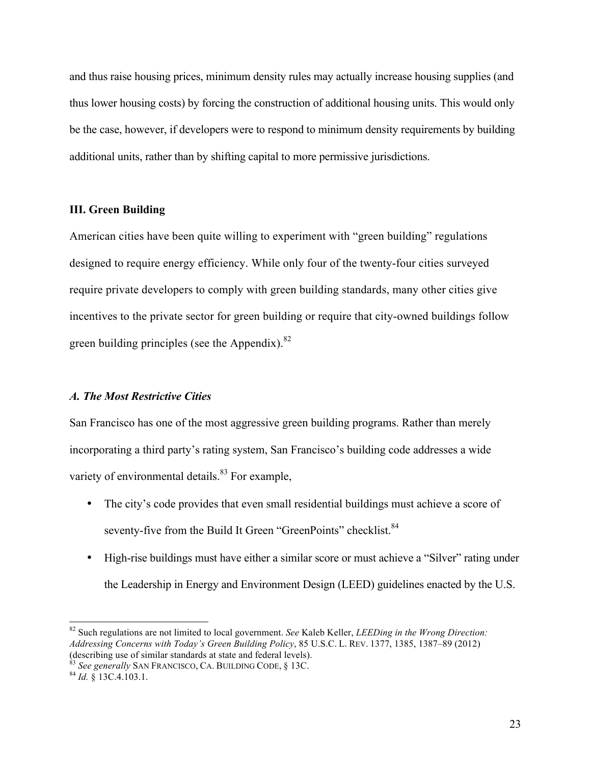and thus raise housing prices, minimum density rules may actually increase housing supplies (and thus lower housing costs) by forcing the construction of additional housing units. This would only be the case, however, if developers were to respond to minimum density requirements by building additional units, rather than by shifting capital to more permissive jurisdictions.

#### **III. Green Building**

American cities have been quite willing to experiment with "green building" regulations designed to require energy efficiency. While only four of the twenty-four cities surveyed require private developers to comply with green building standards, many other cities give incentives to the private sector for green building or require that city-owned buildings follow green building principles (see the Appendix).<sup>82</sup>

#### *A. The Most Restrictive Cities*

San Francisco has one of the most aggressive green building programs. Rather than merely incorporating a third party's rating system, San Francisco's building code addresses a wide variety of environmental details.<sup>83</sup> For example,

- The city's code provides that even small residential buildings must achieve a score of seventy-five from the Build It Green "GreenPoints" checklist.<sup>84</sup>
- High-rise buildings must have either a similar score or must achieve a "Silver" rating under the Leadership in Energy and Environment Design (LEED) guidelines enacted by the U.S.

 <sup>82</sup> Such regulations are not limited to local government. *See* Kaleb Keller, *LEEDing in the Wrong Direction: Addressing Concerns with Today's Green Building Policy*, 85 U.S.C. L. REV. 1377, 1385, 1387–89 (2012)

<sup>&</sup>lt;sup>83</sup> See generally SAN FRANCISCO, CA. BUILDING CODE, § 13C. <sup>84</sup> *Id.* § 13C.4.103.1.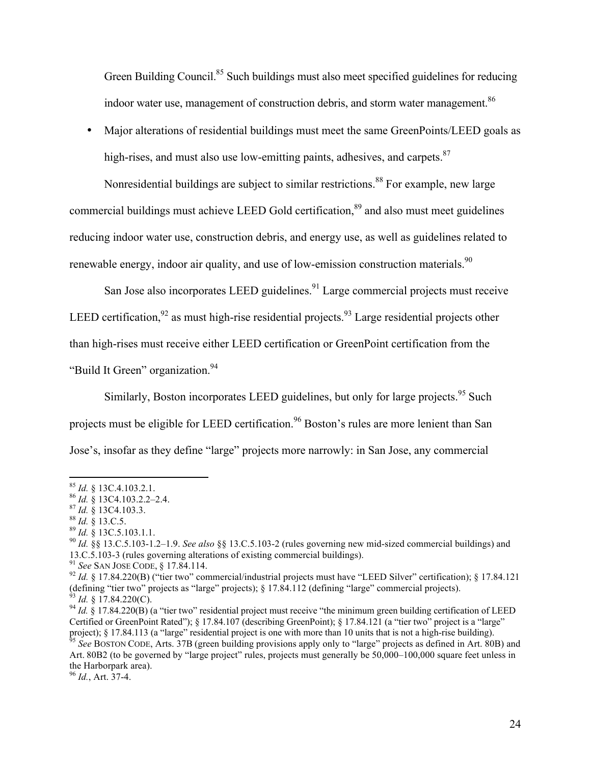Green Building Council.<sup>85</sup> Such buildings must also meet specified guidelines for reducing indoor water use, management of construction debris, and storm water management.<sup>86</sup>

• Major alterations of residential buildings must meet the same GreenPoints/LEED goals as high-rises, and must also use low-emitting paints, adhesives, and carpets. $87$ 

Nonresidential buildings are subject to similar restrictions.<sup>88</sup> For example, new large commercial buildings must achieve LEED Gold certification,<sup>89</sup> and also must meet guidelines reducing indoor water use, construction debris, and energy use, as well as guidelines related to renewable energy, indoor air quality, and use of low-emission construction materials.<sup>90</sup>

San Jose also incorporates LEED guidelines.<sup>91</sup> Large commercial projects must receive LEED certification,  $92$  as must high-rise residential projects.  $93$  Large residential projects other than high-rises must receive either LEED certification or GreenPoint certification from the "Build It Green" organization.<sup>94</sup>

Similarly, Boston incorporates LEED guidelines, but only for large projects.<sup>95</sup> Such projects must be eligible for LEED certification.<sup>96</sup> Boston's rules are more lenient than San Jose's, insofar as they define "large" projects more narrowly: in San Jose, any commercial

<sup>&</sup>lt;sup>85</sup> *Id.* § 13C.4.103.2.1.<br>
<sup>86</sup> *Id.* § 13C4.103.2.2–2.4.<br>
<sup>87</sup> *Id.* § 13C4.103.3.<br>
<sup>88</sup> *Id.* § 13.C.5.<br>
<sup>89</sup> *Id.* § 13.C.5.103.1.1.<br>
<sup>90</sup> *Id.* §§ 13.C.5.103-1.2–1.9. *See also* §§ 13.C.5.103-2 (rules governing new

<sup>&</sup>lt;sup>91</sup> See SAN JOSE CODE, § 17.84.114.<br><sup>92</sup> *Id.* § 17.84.220(B) ("tier two" commercial/industrial projects must have "LEED Silver" certification); § 17.84.121 (defining "tier two" projects as "large" projects); § 17.84.112 (defining "large" commercial projects).<br><sup>93</sup> Id. § 17.84.220(C).<br><sup>94</sup> Id. § 17.84.220(B) (a "tier two" residential project must receive "the minimum green bu

Certified or GreenPoint Rated"); § 17.84.107 (describing GreenPoint); § 17.84.121 (a "tier two" project is a "large" project); § 17.84.113 (a "large" residential project is one with more than 10 units that is not a high-rise building).<br><sup>95</sup> See BOSTON CODE, Arts. 37B (green building provisions apply only to "large" projects as defined in

Art. 80B2 (to be governed by "large project" rules, projects must generally be 50,000–100,000 square feet unless in the Harborpark area). <sup>96</sup> *Id.*, Art. 37-4.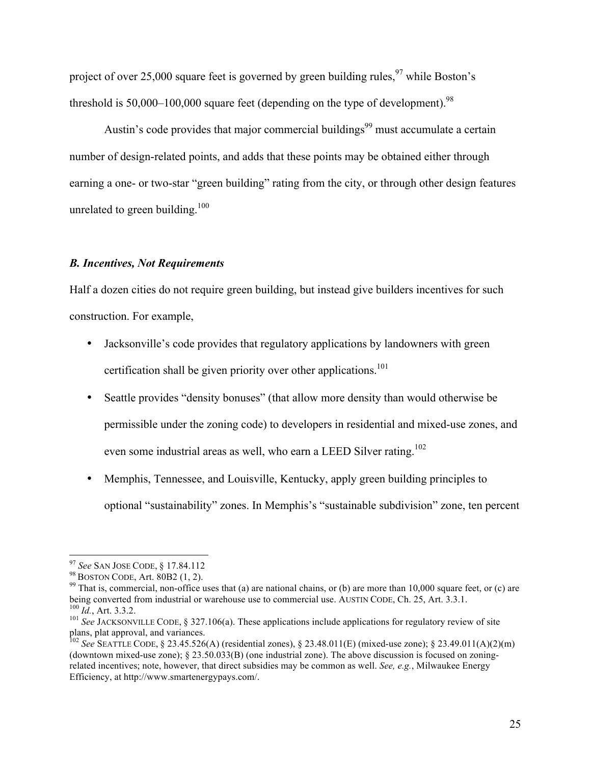project of over 25,000 square feet is governed by green building rules,  $97$  while Boston's threshold is 50,000–100,000 square feet (depending on the type of development).<sup>98</sup>

Austin's code provides that major commercial buildings<sup>99</sup> must accumulate a certain number of design-related points, and adds that these points may be obtained either through earning a one- or two-star "green building" rating from the city, or through other design features unrelated to green building. $100$ 

#### *B. Incentives, Not Requirements*

Half a dozen cities do not require green building, but instead give builders incentives for such construction. For example,

- Jacksonville's code provides that regulatory applications by landowners with green certification shall be given priority over other applications.<sup>101</sup>
- Seattle provides "density bonuses" (that allow more density than would otherwise be permissible under the zoning code) to developers in residential and mixed-use zones, and even some industrial areas as well, who earn a LEED Silver rating.<sup>102</sup>
- Memphis, Tennessee, and Louisville, Kentucky, apply green building principles to optional "sustainability" zones. In Memphis's "sustainable subdivision" zone, ten percent

<sup>&</sup>lt;sup>97</sup> *See* SAN JOSE CODE, § 17.84.112<br><sup>98</sup> BOSTON CODE, Art. 80B2 (1, 2).<br><sup>99</sup> That is, commercial, non-office uses that (a) are national chains, or (b) are more than 10,000 square feet, or (c) are<br>being converted from ind

<sup>&</sup>lt;sup>100</sup> *Id.*, Art. 3.3.2.<br><sup>101</sup> See JACKSONVILLE CODE, § 327.106(a). These applications include applications for regulatory review of site plans, plat approval, and variances.

<sup>102</sup> *See* SEATTLE CODE, § 23.45.526(A) (residential zones), § 23.48.011(E) (mixed-use zone); § 23.49.011(A)(2)(m) (downtown mixed-use zone); § 23.50.033(B) (one industrial zone). The above discussion is focused on zoningrelated incentives; note, however, that direct subsidies may be common as well. *See, e.g.*, Milwaukee Energy Efficiency, at [http://www.smartenergypays.com/.](http://www.smartenergypays.com/)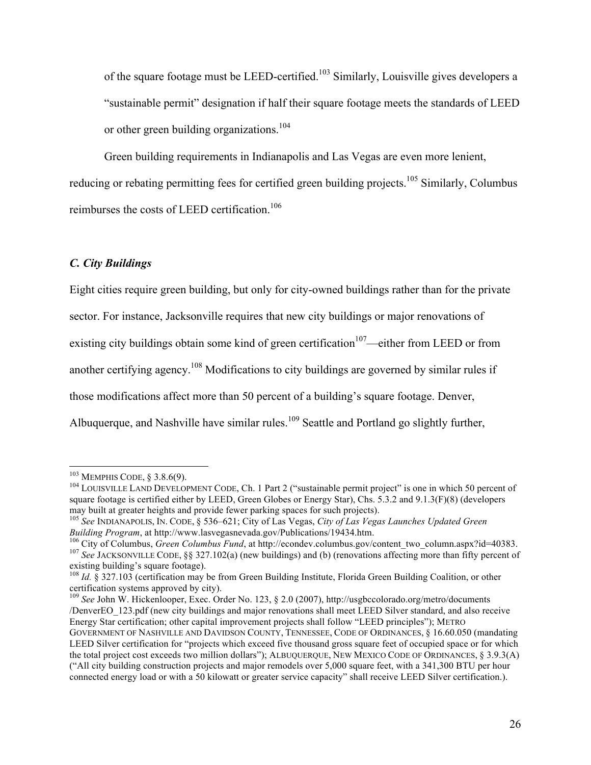of the square footage must be LEED-certified.<sup>103</sup> Similarly, Louisville gives developers a "sustainable permit" designation if half their square footage meets the standards of LEED or other green building organizations.<sup>104</sup>

Green building requirements in Indianapolis and Las Vegas are even more lenient, reducing or rebating permitting fees for certified green building projects.<sup>105</sup> Similarly, Columbus reimburses the costs of LEED certification.<sup>106</sup>

# *C. City Buildings*

Eight cities require green building, but only for city-owned buildings rather than for the private sector. For instance, Jacksonville requires that new city buildings or major renovations of existing city buildings obtain some kind of green certification<sup>107</sup>—either from LEED or from another certifying agency.<sup>108</sup> Modifications to city buildings are governed by similar rules if those modifications affect more than 50 percent of a building's square footage. Denver, Albuquerque, and Nashville have similar rules.<sup>109</sup> Seattle and Portland go slightly further,

<u> 1989 - Johann Stein, markin film yn y breninn y breninn y breninn y breninn y breninn y breninn y breninn y b</u>

<sup>&</sup>lt;sup>103</sup> MEMPHIS CODE, § 3.8.6(9).<br><sup>104</sup> LOUISVILLE LAND DEVELOPMENT CODE, Ch. 1 Part 2 ("sustainable permit project" is one in which 50 percent of square footage is certified either by LEED, Green Globes or Energy Star), Chs. 5.3.2 and 9.1.3(F)(8) (developers may built at greater heights and provide fewer parking spaces for such projects).

<sup>105</sup> *See* INDIANAPOLIS, IN. CODE, § 536–621; City of Las Vegas, *City of Las Vegas Launches Updated Green* 

*Building Program*, at [http://www.lasvegasnevada.gov/Publications/19434.htm.](http://www.lasvegasnevada.gov/Publications/19434.htm)<br><sup>106</sup> City of Columbus, *Green Columbus Fund*, at [http://econdev.columbus.gov/content\\_two\\_column.aspx?id=40383](http://econdev.columbus.gov/content_two_column.aspx?id=40383).<br><sup>107</sup> See JACKSONVILLE CODE, §§ 3 existing building's square footage).

<sup>&</sup>lt;sup>108</sup> *Id.* § 327.103 (certification may be from Green Building Institute, Florida Green Building Coalition, or other certification systems approved by city).

<sup>109</sup> *See* John W. Hickenlooper, Exec. Order No. 123, § 2.0 (2007), [http://usgbccolorado.org/metro/documents](https://www.youtube.com/watch?v=n5ghhmWrubY) [/DenverEO\\_123.pdf](https://www.youtube.com/watch?v=n5ghhmWrubY) (new city buildings and major renovations shall meet LEED Silver standard, and also receive Energy Star certification; other capital improvement projects shall follow "LEED principles"); METRO GOVERNMENT OF NASHVILLE AND DAVIDSON COUNTY, TENNESSEE, CODE OF ORDINANCES, § 16.60.050 (mandating LEED Silver certification for "projects which exceed five thousand gross square feet of occupied space or for which the total project cost exceeds two million dollars"); ALBUQUERQUE, NEW MEXICO CODE OF ORDINANCES, § 3.9.3(A) ("All city building construction projects and major remodels over 5,000 square feet, with a 341,300 BTU per hour connected energy load or with a 50 kilowatt or greater service capacity" shall receive LEED Silver certification.).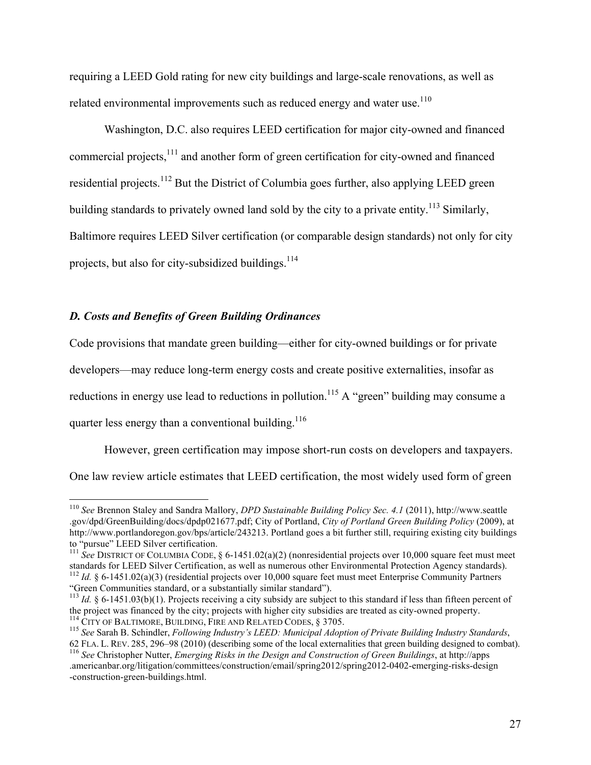requiring a LEED Gold rating for new city buildings and large-scale renovations, as well as related environmental improvements such as reduced energy and water use.<sup>110</sup>

Washington, D.C. also requires LEED certification for major city-owned and financed commercial projects,<sup>111</sup> and another form of green certification for city-owned and financed residential projects.<sup>112</sup> But the District of Columbia goes further, also applying LEED green building standards to privately owned land sold by the city to a private entity.<sup>113</sup> Similarly, Baltimore requires LEED Silver certification (or comparable design standards) not only for city projects, but also for city-subsidized buildings.<sup>114</sup>

#### *D. Costs and Benefits of Green Building Ordinances*

Code provisions that mandate green building—either for city-owned buildings or for private developers—may reduce long-term energy costs and create positive externalities, insofar as reductions in energy use lead to reductions in pollution.<sup>115</sup> A "green" building may consume a quarter less energy than a conventional building. $116$ 

However, green certification may impose short-run costs on developers and taxpayers. One law review article estimates that LEED certification, the most widely used form of green

 <sup>110</sup> *See* Brennon Staley and Sandra Mallory, *DPD Sustainable Building Policy Sec. 4.1* (2011), [http://www.seattle](http://www.seattle.gov/dpd/GreenBuilding/docs/dpdp021677.pdf) [.gov/dpd/GreenBuilding/docs/dpdp021677.pdf;](http://www.seattle.gov/dpd/GreenBuilding/docs/dpdp021677.pdf) City of Portland, *City of Portland Green Building Policy* (2009), at <http://www.portlandoregon.gov/bps/article/243213>. Portland goes a bit further still, requiring existing city buildings to "pursue" LEED Silver certification.

<sup>&</sup>lt;sup>111</sup> See DISTRICT OF COLUMBIA CODE,  $\S$  6-1451.02(a)(2) (nonresidential projects over 10,000 square feet must meet standards for LEED Silver Certification, as well as numerous other Environmental Protection Agency standards).<br><sup>112</sup> Id. § 6-1451.02(a)(3) (residential projects over 10,000 square feet must meet Enterprise Community Partne "Green Communities standard, or a substantially similar standard").

<sup>&</sup>lt;sup>113</sup> *Id.* § 6-1451.03(b)(1). Projects receiving a city subsidy are subject to this standard if less than fifteen percent of the project was financed by the city; projects with higher city subsidies are treated as city-o

<sup>&</sup>lt;sup>114</sup> CITY OF BALTIMORE, BUILDING, FIRE AND RELATED CODES, § 3705.<br><sup>115</sup> See Sarah B. Schindler, *Following Industry's LEED*: *Municipal Adoption of Private Building Industry Standards*,<br>62 FLA. L. REV. 285, 296–98 (2010)

<sup>&</sup>lt;sup>116</sup> See Christopher Nutter, *Emerging Risks in the Design and Construction of Green Buildings*, at [http://apps](http://apps.americanbar.org/litigation/committees/construction/email/spring2012/spring2012-0402-emerging-risks-design-construction-green-buildings.html) [.americanbar.org/litigation/committees/construction/email/spring2012/spring2012-0402-emerging-risks-design](http://apps.americanbar.org/litigation/committees/construction/email/spring2012/spring2012-0402-emerging-risks-design-construction-green-buildings.html) [-construction-green-buildings.html.](http://apps.americanbar.org/litigation/committees/construction/email/spring2012/spring2012-0402-emerging-risks-design-construction-green-buildings.html)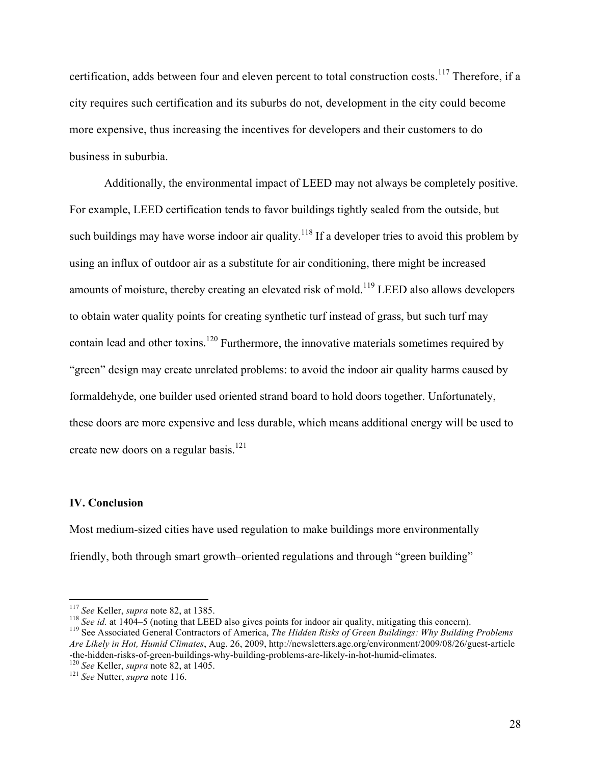certification, adds between four and eleven percent to total construction costs.<sup>117</sup> Therefore, if a city requires such certification and its suburbs do not, development in the city could become more expensive, thus increasing the incentives for developers and their customers to do business in suburbia.

Additionally, the environmental impact of LEED may not always be completely positive. For example, LEED certification tends to favor buildings tightly sealed from the outside, but such buildings may have worse indoor air quality.<sup>118</sup> If a developer tries to avoid this problem by using an influx of outdoor air as a substitute for air conditioning, there might be increased amounts of moisture, thereby creating an elevated risk of mold.<sup>119</sup> LEED also allows developers to obtain water quality points for creating synthetic turf instead of grass, but such turf may contain lead and other toxins.<sup>120</sup> Furthermore, the innovative materials sometimes required by "green" design may create unrelated problems: to avoid the indoor air quality harms caused by formaldehyde, one builder used oriented strand board to hold doors together. Unfortunately, these doors are more expensive and less durable, which means additional energy will be used to create new doors on a regular basis.<sup>121</sup>

#### **IV. Conclusion**

Most medium-sized cities have used regulation to make buildings more environmentally friendly, both through smart growth–oriented regulations and through "green building"

<sup>&</sup>lt;u> 1989 - Johann Stein, markin film yn y breninn y breninn y breninn y breninn y breninn y breninn y breninn y b</u>

<sup>&</sup>lt;sup>117</sup> See Keller, *supra* note 82, at 1385.<br><sup>118</sup> See id. at 1404–5 (noting that LEED also gives points for indoor air quality, mitigating this concern).<br><sup>119</sup> See Associated General Contractors of America, *The Hidden Ri Are Likely in Hot, Humid Climates*, Aug. 26, 2009, [http://newsletters.agc.org/environment/2009/08/26/guest-article](http://apps.americanbar.org/litigation/committees/construction/email/spring2012/spring2012-0402-emerging-risks-design-construction-green-buildings.html) [-the-hidden-risks-of-green-buildings-why-building-problems-are-likely-in-hot-humid-climates](http://apps.americanbar.org/litigation/committees/construction/email/spring2012/spring2012-0402-emerging-risks-design-construction-green-buildings.html). <sup>120</sup> *See* Keller, *supra* note 82, at 1405. <sup>121</sup> *See* Nutter, *supra* note 116.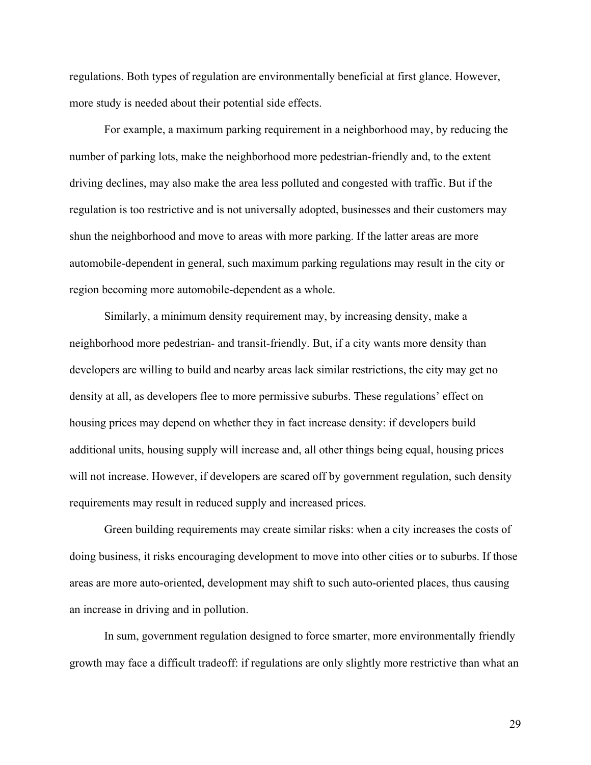regulations. Both types of regulation are environmentally beneficial at first glance. However, more study is needed about their potential side effects.

For example, a maximum parking requirement in a neighborhood may, by reducing the number of parking lots, make the neighborhood more pedestrian-friendly and, to the extent driving declines, may also make the area less polluted and congested with traffic. But if the regulation is too restrictive and is not universally adopted, businesses and their customers may shun the neighborhood and move to areas with more parking. If the latter areas are more automobile-dependent in general, such maximum parking regulations may result in the city or region becoming more automobile-dependent as a whole.

Similarly, a minimum density requirement may, by increasing density, make a neighborhood more pedestrian- and transit-friendly. But, if a city wants more density than developers are willing to build and nearby areas lack similar restrictions, the city may get no density at all, as developers flee to more permissive suburbs. These regulations' effect on housing prices may depend on whether they in fact increase density: if developers build additional units, housing supply will increase and, all other things being equal, housing prices will not increase. However, if developers are scared off by government regulation, such density requirements may result in reduced supply and increased prices.

Green building requirements may create similar risks: when a city increases the costs of doing business, it risks encouraging development to move into other cities or to suburbs. If those areas are more auto-oriented, development may shift to such auto-oriented places, thus causing an increase in driving and in pollution.

In sum, government regulation designed to force smarter, more environmentally friendly growth may face a difficult tradeoff: if regulations are only slightly more restrictive than what an

29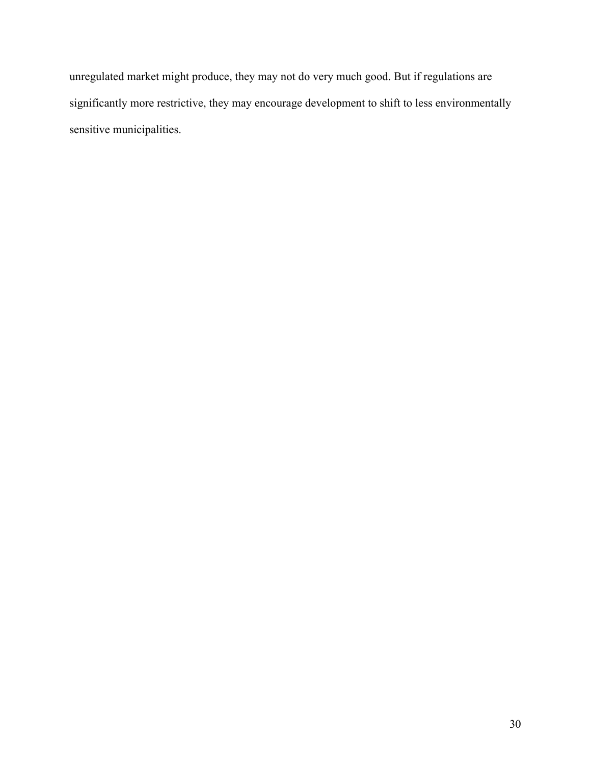unregulated market might produce, they may not do very much good. But if regulations are significantly more restrictive, they may encourage development to shift to less environmentally sensitive municipalities.